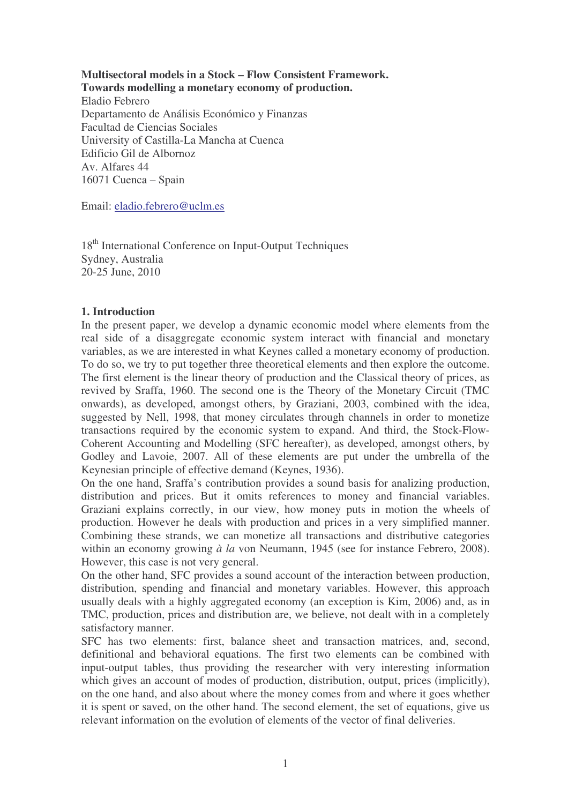**Multisectoral models in a Stock – Flow Consistent Framework. Towards modelling a monetary economy of production.** Eladio Febrero Departamento de Análisis Económico y Finanzas Facultad de Ciencias Sociales University of Castilla-La Mancha at Cuenca Edificio Gil de Albornoz Av. Alfares 44 16071 Cuenca – Spain

Email: eladio.febrero@uclm.es

18<sup>th</sup> International Conference on Input-Output Techniques Sydney, Australia 20-25 June, 2010

## **1. Introduction**

In the present paper, we develop a dynamic economic model where elements from the real side of a disaggregate economic system interact with financial and monetary variables, as we are interested in what Keynes called a monetary economy of production. To do so, we try to put together three theoretical elements and then explore the outcome. The first element is the linear theory of production and the Classical theory of prices, as revived by Sraffa, 1960. The second one is the Theory of the Monetary Circuit (TMC onwards), as developed, amongst others, by Graziani, 2003, combined with the idea, suggested by Nell, 1998, that money circulates through channels in order to monetize transactions required by the economic system to expand. And third, the Stock-Flow-Coherent Accounting and Modelling (SFC hereafter), as developed, amongst others, by Godley and Lavoie, 2007. All of these elements are put under the umbrella of the Keynesian principle of effective demand (Keynes, 1936).

On the one hand, Sraffa's contribution provides a sound basis for analizing production, distribution and prices. But it omits references to money and financial variables. Graziani explains correctly, in our view, how money puts in motion the wheels of production. However he deals with production and prices in a very simplified manner. Combining these strands, we can monetize all transactions and distributive categories within an economy growing *à la* von Neumann, 1945 (see for instance Febrero, 2008). However, this case is not very general.

On the other hand, SFC provides a sound account of the interaction between production, distribution, spending and financial and monetary variables. However, this approach usually deals with a highly aggregated economy (an exception is Kim, 2006) and, as in TMC, production, prices and distribution are, we believe, not dealt with in a completely satisfactory manner.

SFC has two elements: first, balance sheet and transaction matrices, and, second, definitional and behavioral equations. The first two elements can be combined with input-output tables, thus providing the researcher with very interesting information which gives an account of modes of production, distribution, output, prices (implicitly), on the one hand, and also about where the money comes from and where it goes whether it is spent or saved, on the other hand. The second element, the set of equations, give us relevant information on the evolution of elements of the vector of final deliveries.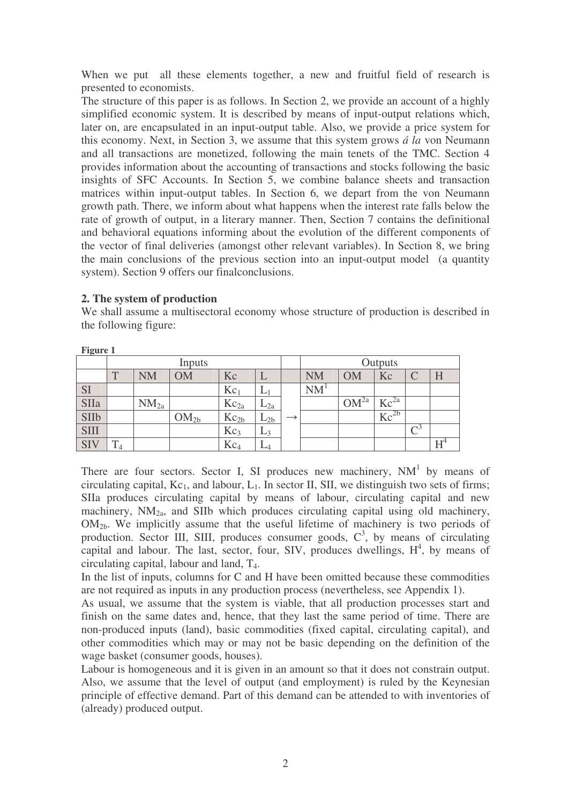When we put all these elements together, a new and fruitful field of research is presented to economists.

The structure of this paper is as follows. In Section 2, we provide an account of a highly simplified economic system. It is described by means of input-output relations which, later on, are encapsulated in an input-output table. Also, we provide a price system for this economy. Next, in Section 3, we assume that this system grows *á la* von Neumann and all transactions are monetized, following the main tenets of the TMC. Section 4 provides information about the accounting of transactions and stocks following the basic insights of SFC Accounts. In Section 5, we combine balance sheets and transaction matrices within input-output tables. In Section 6, we depart from the von Neumann growth path. There, we inform about what happens when the interest rate falls below the rate of growth of output, in a literary manner. Then, Section 7 contains the definitional and behavioral equations informing about the evolution of the different components of the vector of final deliveries (amongst other relevant variables). In Section 8, we bring the main conclusions of the previous section into an input-output model (a quantity system). Section 9 offers our finalconclusions.

## **2. The system of production**

We shall assume a multisectoral economy whose structure of production is described in the following figure:

| riguivi     |              |           |                  |                 |          |  |           |                  |                                    |  |   |
|-------------|--------------|-----------|------------------|-----------------|----------|--|-----------|------------------|------------------------------------|--|---|
|             |              |           | Inputs           |                 |          |  | Outputs   |                  |                                    |  |   |
|             | $\mathbf{T}$ | NM        | OM               | Kc              |          |  | <b>NM</b> | OM               | Kc                                 |  | H |
| <b>SI</b>   |              |           |                  | $Kc_1$          | ⊷        |  | NM        |                  |                                    |  |   |
| SIIa        |              | $NM_{2a}$ |                  | $Kc_{2a}$       | $L_{2a}$ |  |           | OM <sup>2a</sup> | $\rm{Kc}^{\rm{2a}}$                |  |   |
| <b>SIIb</b> |              |           | OM <sub>2b</sub> | $Kc_{2b}$       | $L_{2b}$ |  |           |                  | $\overline{\text{Kc}}^{\text{2b}}$ |  |   |
| <b>SIII</b> |              |           |                  | Kc <sub>3</sub> | $L_3$    |  |           |                  |                                    |  |   |
| <b>SIV</b>  | m<br>14      |           |                  | $Kc_4$          | L4       |  |           |                  |                                    |  |   |

**Figure 1**

There are four sectors. Sector I, SI produces new machinery,  $NM<sup>1</sup>$  by means of circulating capital,  $Kc_1$ , and labour,  $L_1$ . In sector II, SII, we distinguish two sets of firms; SIIa produces circulating capital by means of labour, circulating capital and new machinery,  $NM_{2a}$ , and SIIb which produces circulating capital using old machinery,  $OM<sub>2b</sub>$ . We implicitly assume that the useful lifetime of machinery is two periods of production. Sector III, SIII, produces consumer goods,  $C<sup>3</sup>$ , by means of circulating capital and labour. The last, sector, four, SIV, produces dwellings,  $H^4$ , by means of circulating capital, labour and land, T4.

In the list of inputs, columns for C and H have been omitted because these commodities are not required as inputs in any production process (nevertheless, see Appendix 1).

As usual, we assume that the system is viable, that all production processes start and finish on the same dates and, hence, that they last the same period of time. There are non-produced inputs (land), basic commodities (fixed capital, circulating capital), and other commodities which may or may not be basic depending on the definition of the wage basket (consumer goods, houses).

Labour is homogeneous and it is given in an amount so that it does not constrain output. Also, we assume that the level of output (and employment) is ruled by the Keynesian principle of effective demand. Part of this demand can be attended to with inventories of (already) produced output.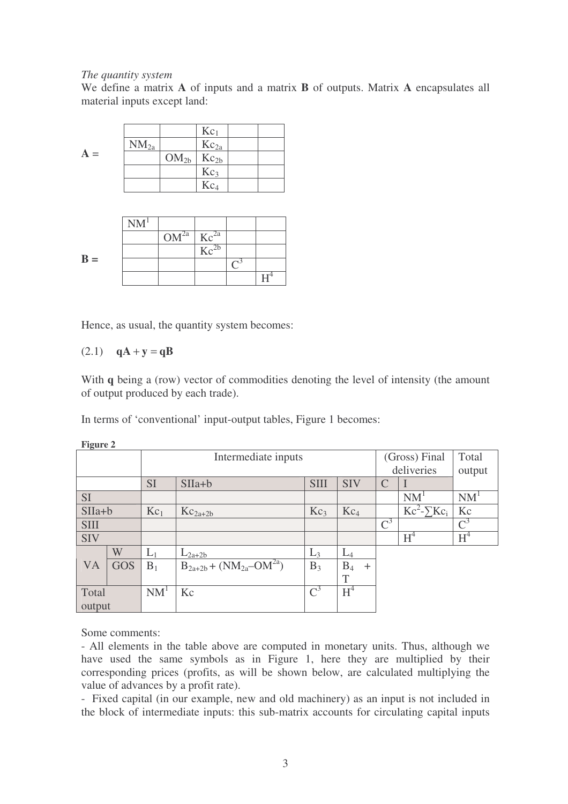### *The quantity system*

We define a matrix **A** of inputs and a matrix **B** of outputs. Matrix **A** encapsulates all material inputs except land:

|       |           |               | $Kc_1$          |  |
|-------|-----------|---------------|-----------------|--|
| $A =$ | $NM_{2a}$ |               | $Kc_{2a}$       |  |
|       |           | $OM2b$ $Kc2b$ |                 |  |
|       |           |               | Kc <sub>3</sub> |  |
|       |           |               | Kc <sub>4</sub> |  |

|       | NM <sup>1</sup> |                     |                         |  |
|-------|-----------------|---------------------|-------------------------|--|
|       |                 | $OM^{2a}$ $Kc^{2a}$ |                         |  |
|       |                 |                     | $\text{Kc}^{\text{2b}}$ |  |
| $B =$ |                 |                     |                         |  |
|       |                 |                     |                         |  |

Hence, as usual, the quantity system becomes:

## (2.1) **qA** + **y** = **qB**

With **q** being a (row) vector of commodities denoting the level of intensity (the amount of output produced by each trade).

In terms of 'conventional' input-output tables, Figure 1 becomes:

| $\Gamma$ iguit $\epsilon$ 4 |            |                 |                                   |                 |                 |                 |                                   |                 |
|-----------------------------|------------|-----------------|-----------------------------------|-----------------|-----------------|-----------------|-----------------------------------|-----------------|
|                             |            |                 | Intermediate inputs               |                 |                 |                 | (Gross) Final                     | Total           |
|                             |            |                 |                                   |                 |                 |                 | deliveries                        | output          |
|                             |            | <b>SI</b>       | $SIIa+b$                          | <b>SIII</b>     | <b>SIV</b>      | C               |                                   |                 |
| <b>SI</b>                   |            |                 |                                   |                 |                 |                 | NM <sup>1</sup>                   | NM <sup>1</sup> |
| $SIIa+b$                    |            | $Kc_1$          | $Kc_{2a+2b}$                      | Kc <sub>3</sub> | Kc <sub>4</sub> |                 | $\overline{Kc^2}$ - $\Sigma Kc_i$ | Kc              |
| <b>SIII</b>                 |            |                 |                                   |                 |                 | $\mathcal{C}^3$ |                                   | $\mathcal{C}^3$ |
| <b>SIV</b>                  |            |                 |                                   |                 |                 |                 | $H^4$                             | $H^4$           |
|                             | W          | $L_1$           | $L_{2a+2b}$                       | $L_3$           | $L_4$           |                 |                                   |                 |
| VA                          | <b>GOS</b> | $B_1$           | $B_{2a+2b} + (NM_{2a} - OM^{2a})$ | $B_3$           | $B_4$<br>$+$    |                 |                                   |                 |
|                             |            |                 |                                   |                 | T               |                 |                                   |                 |
| Total                       |            | NM <sup>1</sup> | Kc                                | $\mathbf{C}^3$  | $H^4$           |                 |                                   |                 |
| output                      |            |                 |                                   |                 |                 |                 |                                   |                 |

**Figure 2**

Some comments:

- All elements in the table above are computed in monetary units. Thus, although we have used the same symbols as in Figure 1, here they are multiplied by their corresponding prices (profits, as will be shown below, are calculated multiplying the value of advances by a profit rate).

- Fixed capital (in our example, new and old machinery) as an input is not included in the block of intermediate inputs: this sub-matrix accounts for circulating capital inputs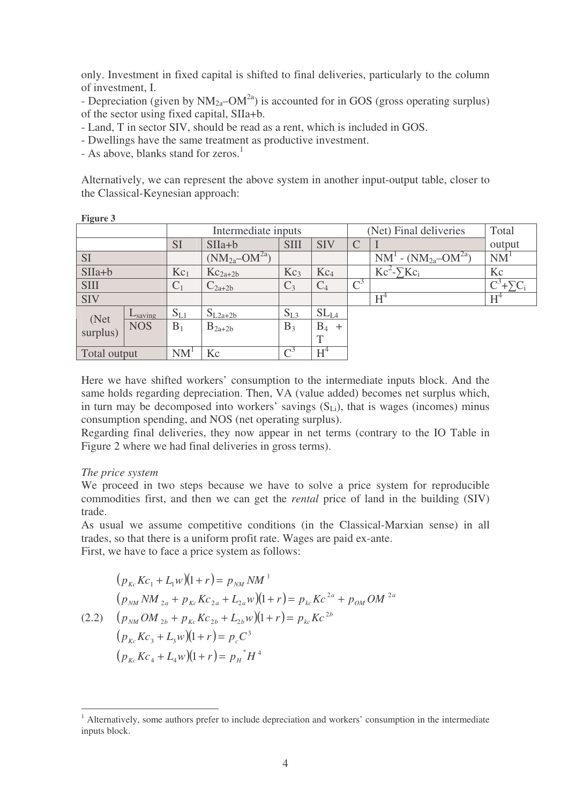only. Investment in fixed capital is shifted to final deliveries, particularly to the column of investment, I.

- Depreciation (given by  $NM_{2a}$ – $OM^{2a}$ ) is accounted for in GOS (gross operating surplus) of the sector using fixed capital, SIIa+b.

- Land, T in sector SIV, should be read as a rent, which is included in GOS.

- Dwellings have the same treatment as productive investment.

- As above, blanks stand for zeros.<sup>1</sup>

Alternatively, we can represent the above system in another input-output table, closer to the Classical-Keynesian approach:

| $    -$          |                     |                 |                                |                 |                  |              |                                  |                  |
|------------------|---------------------|-----------------|--------------------------------|-----------------|------------------|--------------|----------------------------------|------------------|
|                  |                     |                 | Intermediate inputs            |                 |                  |              | (Net) Final deliveries           | Total            |
|                  |                     | <b>SI</b>       | $SIIa+b$                       | <b>SIII</b>     | <b>SIV</b>       | $\mathsf{C}$ |                                  | output           |
| <b>SI</b>        |                     |                 | $(NM_{2a}$ -OM <sup>2a</sup> ) |                 |                  |              | $NM^1$ - $(NM_{2a}$ -O $M^{2a})$ | <b>NM</b>        |
| $SIIa+b$         |                     | Kc <sub>1</sub> | $Kc_{2a+2b}$                   | Kc <sub>3</sub> | Kc <sub>4</sub>  |              | $Kc^2-\sum Kc_i$                 | Kc               |
| <b>SIII</b>      |                     | $C_1$           | $C_{2a+2b}$                    | $C_3$           | $C_4$            | $C^3$        |                                  | $C^3 + \sum C_i$ |
| <b>SIV</b>       |                     |                 |                                |                 |                  |              | $H^4$                            | $H^4$            |
|                  | $L_{\text{saving}}$ | $S_{L1}$        | $S_{L2a+2b}$                   | $S_{L3}$        | SL <sub>L4</sub> |              |                                  |                  |
| (Net<br>surplus) | <b>NOS</b>          | $B_1$           | $B_{2a+2b}$                    | $B_3$           | $B_4$<br>$+$     |              |                                  |                  |
|                  |                     |                 |                                |                 | $\mathbf{T}$     |              |                                  |                  |
| Total output     |                     | NM <sup>1</sup> | Kc                             | $\mathrm{C}^3$  | $H^4$            |              |                                  |                  |

Here we have shifted workers' consumption to the intermediate inputs block. And the same holds regarding depreciation. Then, VA (value added) becomes net surplus which, in turn may be decomposed into workers' savings  $(S<sub>L<sub>i</sub></sub>)$ , that is wages (incomes) minus consumption spending, and NOS (net operating surplus).

Regarding final deliveries, they now appear in net terms (contrary to the IO Table in Figure 2 where we had final deliveries in gross terms).

### *The price system*

We proceed in two steps because we have to solve a price system for reproducible commodities first, and then we can get the *rental* price of land in the building (SIV) trade.

As usual we assume competitive conditions (in the Classical-Marxian sense) in all trades, so that there is a uniform profit rate. Wages are paid ex-ante.

First, we have to face a price system as follows:

$$
(p_{kc}Kc_1 + L_1w)(1+r) = p_{NM}NM^{-1}
$$
  
\n
$$
(p_{NM}NM_{2a} + p_{kc}Kc_{2a} + L_{2a}w)(1+r) = p_{kc}Kc^{2a} + p_{OM}OM^{-2a}
$$
  
\n(2.2) 
$$
(p_{NM}OM_{2b} + p_{kc}Kc_{2b} + L_{2b}w)(1+r) = p_{kc}Kc^{2b}
$$
  
\n
$$
(p_{kc}Kc_3 + L_3w)(1+r) = p_cC^3
$$
  
\n
$$
(p_{kc}Kc_4 + L_4w)(1+r) = p_H^*H^4
$$

<sup>&</sup>lt;sup>1</sup> Alternatively, some authors prefer to include depreciation and workers' consumption in the intermediate inputs block.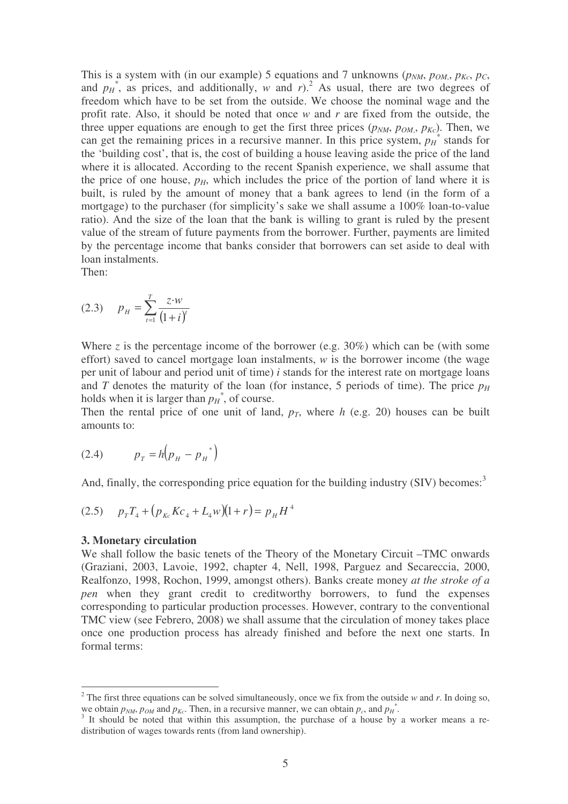This is a system with (in our example) 5 equations and 7 unknowns ( $p_{NM}$ ,  $p_{OM}$ ,  $p_{Kc}$ ,  $p_{C}$ , and  $p<sub>H</sub>$ <sup>\*</sup>, as prices, and additionally, *w* and *r*).<sup>2</sup> As usual, there are two degrees of freedom which have to be set from the outside. We choose the nominal wage and the profit rate. Also, it should be noted that once *w* and *r* are fixed from the outside, the three upper equations are enough to get the first three prices  $(p_{NM}, p_{OM}, p_{Kc})$ . Then, we can get the remaining prices in a recursive manner. In this price system,  $p_H^*$  stands for the 'building cost', that is, the cost of building a house leaving aside the price of the land where it is allocated. According to the recent Spanish experience, we shall assume that the price of one house,  $p<sub>H</sub>$ , which includes the price of the portion of land where it is built, is ruled by the amount of money that a bank agrees to lend (in the form of a mortgage) to the purchaser (for simplicity's sake we shall assume a 100% loan-to-value ratio). And the size of the loan that the bank is willing to grant is ruled by the present value of the stream of future payments from the borrower. Further, payments are limited by the percentage income that banks consider that borrowers can set aside to deal with loan instalments.

Then:

$$
(2.3) \t p_H = \sum_{t=1}^{T} \frac{z \cdot w}{(1+i)^t}
$$

Where *z* is the percentage income of the borrower (e.g. 30%) which can be (with some effort) saved to cancel mortgage loan instalments, *w* is the borrower income (the wage per unit of labour and period unit of time) *i* stands for the interest rate on mortgage loans and *T* denotes the maturity of the loan (for instance, 5 periods of time). The price  $p_H$ holds when it is larger than  $p_H^*$ , of course.

Then the rental price of one unit of land,  $p<sub>T</sub>$ , where *h* (e.g. 20) houses can be built amounts to:

(2.4) 
$$
p_T = h(p_H - p_H^*)
$$

And, finally, the corresponding price equation for the building industry (SIV) becomes:<sup>3</sup>

$$
(2.5) \t pTT4 + (pkcKc4 + L4w)(1+r) = pHH4
$$

#### **3. Monetary circulation**

We shall follow the basic tenets of the Theory of the Monetary Circuit –TMC onwards (Graziani, 2003, Lavoie, 1992, chapter 4, Nell, 1998, Parguez and Secareccia, 2000, Realfonzo, 1998, Rochon, 1999, amongst others). Banks create money *at the stroke of a pen* when they grant credit to creditworthy borrowers, to fund the expenses corresponding to particular production processes. However, contrary to the conventional TMC view (see Febrero, 2008) we shall assume that the circulation of money takes place once one production process has already finished and before the next one starts. In formal terms:

<sup>&</sup>lt;sup>2</sup> The first three equations can be solved simultaneously, once we fix from the outside  $w$  and  $r$ . In doing so, we obtain  $p_{NM}$ ,  $p_{OM}$  and  $p_{Kc}$ . Then, in a recursive manner, we can obtain  $p_c$ , and  $p_H^*$ .

<sup>&</sup>lt;sup>3</sup> It should be noted that within this assumption, the purchase of a house by a worker means a redistribution of wages towards rents (from land ownership).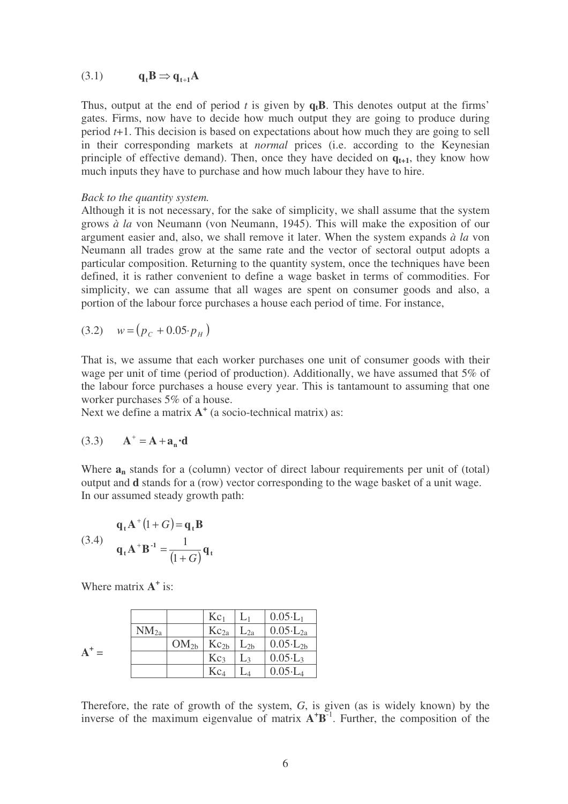(3.1)  $q_t B \Rightarrow q_{t+1} A$ 

Thus, output at the end of period *t* is given by **qtB**. This denotes output at the firms' gates. Firms, now have to decide how much output they are going to produce during period *t*+1. This decision is based on expectations about how much they are going to sell in their corresponding markets at *normal* prices (i.e. according to the Keynesian principle of effective demand). Then, once they have decided on  $q_{t+1}$ , they know how much inputs they have to purchase and how much labour they have to hire.

#### *Back to the quantity system.*

Although it is not necessary, for the sake of simplicity, we shall assume that the system grows *à la* von Neumann (von Neumann, 1945). This will make the exposition of our argument easier and, also, we shall remove it later. When the system expands *à la* von Neumann all trades grow at the same rate and the vector of sectoral output adopts a particular composition. Returning to the quantity system, once the techniques have been defined, it is rather convenient to define a wage basket in terms of commodities. For simplicity, we can assume that all wages are spent on consumer goods and also, a portion of the labour force purchases a house each period of time. For instance,

$$
(3.2) \t w = (p_c + 0.05 \cdot p_H)
$$

That is, we assume that each worker purchases one unit of consumer goods with their wage per unit of time (period of production). Additionally, we have assumed that 5% of the labour force purchases a house every year. This is tantamount to assuming that one worker purchases 5% of a house.

Next we define a matrix  $A^+$  (a socio-technical matrix) as:

$$
(3.3) \qquad \mathbf{A}^+ = \mathbf{A} + \mathbf{a}_n \cdot \mathbf{d}
$$

Where  $a_n$  stands for a (column) vector of direct labour requirements per unit of (total) output and **d** stands for a (row) vector corresponding to the wage basket of a unit wage. In our assumed steady growth path:

(3.4) 
$$
\mathbf{q}_t \mathbf{A}^+ (1+G) = \mathbf{q}_t \mathbf{B}
$$

$$
\mathbf{q}_t \mathbf{A}^+ \mathbf{B}^{-1} = \frac{1}{(1+G)} \mathbf{q}_t
$$

Where matrix  $A^+$  is:

|   |           |                  | $Kc_1$          |                | $0.05 \cdot L_1$    |
|---|-----------|------------------|-----------------|----------------|---------------------|
|   | $NM_{2a}$ |                  | $Kc_{2a}$       | $L_{2a}$       | $0.05 \cdot L_{2a}$ |
| Â |           | OM <sub>2b</sub> | $Kc_{2b}$       | $L_{2b}$       | $0.05 \cdot L_{2b}$ |
|   |           |                  | Kc <sub>3</sub> | $\mathsf{L}$ 3 | $0.05 \cdot L_3$    |
|   |           |                  | $\rm Kc_4$      |                | $0.05 \cdot L_4$    |

Therefore, the rate of growth of the system, *G*, is given (as is widely known) by the inverse of the maximum eigenvalue of matrix  $A^{\dagger}B^{-1}$ . Further, the composition of the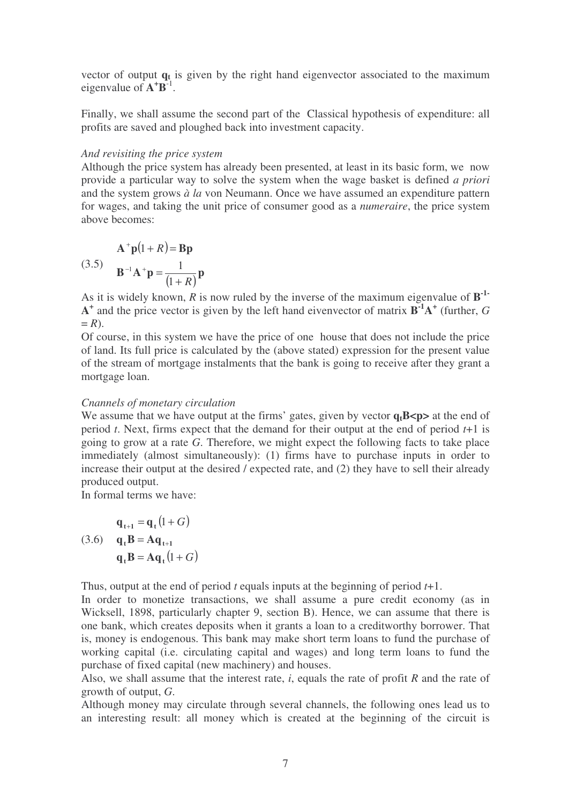vector of output **q<sup>t</sup>** is given by the right hand eigenvector associated to the maximum eigenvalue of  $\mathbf{A}^+ \mathbf{B}^{-1}$ .

Finally, we shall assume the second part of the Classical hypothesis of expenditure: all profits are saved and ploughed back into investment capacity.

## *And revisiting the price system*

Although the price system has already been presented, at least in its basic form, we now provide a particular way to solve the system when the wage basket is defined *a priori* and the system grows *à la* von Neumann. Once we have assumed an expenditure pattern for wages, and taking the unit price of consumer good as a *numeraire*, the price system above becomes:

$$
A^+ \mathbf{p}(1+R) = \mathbf{B}\mathbf{p}
$$
  
(3.5) 
$$
\mathbf{B}^{-1} \mathbf{A}^+ \mathbf{p} = \frac{1}{(1+R)} \mathbf{p}
$$

As it is widely known, *R* is now ruled by the inverse of the maximum eigenvalue of **B -1- A +** and the price vector is given by the left hand eivenvector of matrix **B -1A +** (further, *G*  $= R$ ).

Of course, in this system we have the price of one house that does not include the price of land. Its full price is calculated by the (above stated) expression for the present value of the stream of mortgage instalments that the bank is going to receive after they grant a mortgage loan.

## *Cnannels of monetary circulation*

We assume that we have output at the firms' gates, given by vector  $q_t B \lt p$  at the end of period *t*. Next, firms expect that the demand for their output at the end of period *t*+1 is going to grow at a rate *G*. Therefore, we might expect the following facts to take place immediately (almost simultaneously): (1) firms have to purchase inputs in order to increase their output at the desired / expected rate, and (2) they have to sell their already produced output.

In formal terms we have:

$$
\mathbf{q}_{t+1} = \mathbf{q}_t (1 + G)
$$
  
(3.6) 
$$
\mathbf{q}_t \mathbf{B} = \mathbf{A} \mathbf{q}_{t+1}
$$

$$
\mathbf{q}_t \mathbf{B} = \mathbf{A} \mathbf{q}_t (1 + G)
$$

Thus, output at the end of period *t* equals inputs at the beginning of period *t*+1.

In order to monetize transactions, we shall assume a pure credit economy (as in Wicksell, 1898, particularly chapter 9, section B). Hence, we can assume that there is one bank, which creates deposits when it grants a loan to a creditworthy borrower. That is, money is endogenous. This bank may make short term loans to fund the purchase of working capital (i.e. circulating capital and wages) and long term loans to fund the purchase of fixed capital (new machinery) and houses.

Also, we shall assume that the interest rate, *i*, equals the rate of profit *R* and the rate of growth of output, *G*.

Although money may circulate through several channels, the following ones lead us to an interesting result: all money which is created at the beginning of the circuit is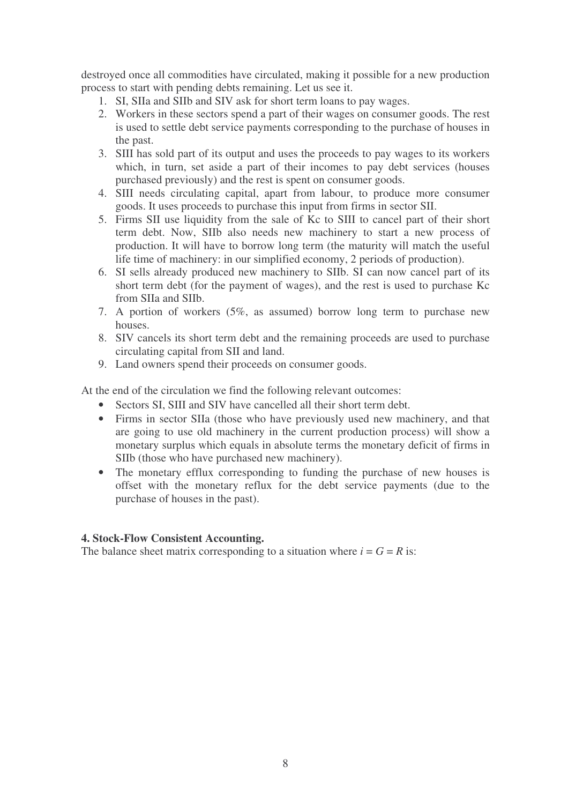destroyed once all commodities have circulated, making it possible for a new production process to start with pending debts remaining. Let us see it.

- 1. SI, SIIa and SIIb and SIV ask for short term loans to pay wages.
- 2. Workers in these sectors spend a part of their wages on consumer goods. The rest is used to settle debt service payments corresponding to the purchase of houses in the past.
- 3. SIII has sold part of its output and uses the proceeds to pay wages to its workers which, in turn, set aside a part of their incomes to pay debt services (houses purchased previously) and the rest is spent on consumer goods.
- 4. SIII needs circulating capital, apart from labour, to produce more consumer goods. It uses proceeds to purchase this input from firms in sector SII.
- 5. Firms SII use liquidity from the sale of Kc to SIII to cancel part of their short term debt. Now, SIIb also needs new machinery to start a new process of production. It will have to borrow long term (the maturity will match the useful life time of machinery: in our simplified economy, 2 periods of production).
- 6. SI sells already produced new machinery to SIIb. SI can now cancel part of its short term debt (for the payment of wages), and the rest is used to purchase Kc from SIIa and SIIb.
- 7. A portion of workers (5%, as assumed) borrow long term to purchase new houses.
- 8. SIV cancels its short term debt and the remaining proceeds are used to purchase circulating capital from SII and land.
- 9. Land owners spend their proceeds on consumer goods.

At the end of the circulation we find the following relevant outcomes:

- Sectors SI, SIII and SIV have cancelled all their short term debt.
- Firms in sector SIIa (those who have previously used new machinery, and that are going to use old machinery in the current production process) will show a monetary surplus which equals in absolute terms the monetary deficit of firms in SIIb (those who have purchased new machinery).
- The monetary efflux corresponding to funding the purchase of new houses is offset with the monetary reflux for the debt service payments (due to the purchase of houses in the past).

## **4. Stock-Flow Consistent Accounting.**

The balance sheet matrix corresponding to a situation where  $i = G = R$  is: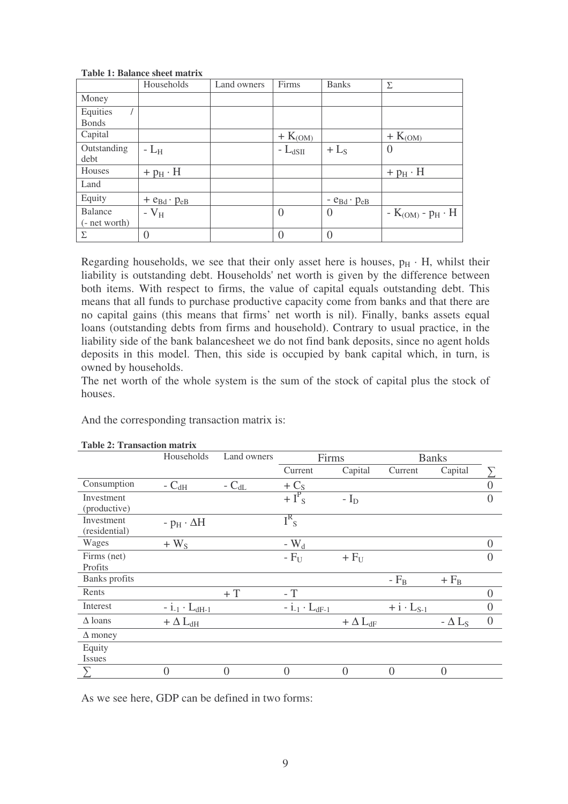|                                 | Households              | Land owners | Firms                    | <b>Banks</b>           | Σ                     |
|---------------------------------|-------------------------|-------------|--------------------------|------------------------|-----------------------|
| Money                           |                         |             |                          |                        |                       |
| Equities<br><b>Bonds</b>        |                         |             |                          |                        |                       |
| Capital                         |                         |             | $+ K_{(\underline{OM})}$ |                        | $+ K_{(0M)}$          |
| Outstanding<br>debt             | $-L_{\rm H}$            |             | - $L_{dSH}$              | $+$ L <sub>S</sub>     | $\overline{0}$        |
| Houses                          | $+p_H \cdot H$          |             |                          |                        | $+ pH \cdot H$        |
| Land                            |                         |             |                          |                        |                       |
| Equity                          | $+ e_{Bd} \cdot p_{eB}$ |             |                          | $ e_{Bd} \cdot p_{eB}$ |                       |
| <b>Balance</b><br>(- net worth) | - $V_H$                 |             | $\overline{0}$           | $\left( \right)$       | $-K(OM) - pH \cdot H$ |
| Σ                               |                         |             | $\Omega$                 | $\Omega$               |                       |

**Table 1: Balance sheet matrix**

Regarding households, we see that their only asset here is houses,  $p_H \cdot H$ , whilst their liability is outstanding debt. Households'net worth is given by the difference between both items. With respect to firms, the value of capital equals outstanding debt. This means that all funds to purchase productive capacity come from banks and that there are no capital gains (this means that firms' net worth is nil). Finally, banks assets equal loans (outstanding debts from firms and household). Contrary to usual practice, in the liability side of the bank balancesheet we do not find bank deposits, since no agent holds deposits in this model. Then, this side is occupied by bank capital which, in turn, is owned by households.

The net worth of the whole system is the sum of the stock of capital plus the stock of houses.

And the corresponding transaction matrix is:

|                             | Households                | Land owners | Firms                     |                   | <b>Banks</b>        |                |                   |
|-----------------------------|---------------------------|-------------|---------------------------|-------------------|---------------------|----------------|-------------------|
|                             |                           |             | Current                   | Capital           | Current             | Capital        |                   |
| Consumption                 | - $C_{dH}$                | - $C_{dL}$  | $+C_{S}$                  |                   |                     |                |                   |
| Investment<br>(productive)  |                           |             | $+I^P$ s                  | - $I_D$           |                     |                |                   |
| Investment<br>(residential) | - $p_H \cdot \Delta H$    |             | $I^R$ <sub>S</sub>        |                   |                     |                |                   |
| Wages                       | $+ W_{S}$                 |             | - $W_d$                   |                   |                     |                |                   |
| Firms (net)<br>Profits      |                           |             | $-F_{U}$                  | $+ FU$            |                     |                |                   |
| Banks profits               |                           |             |                           |                   | $-F_B$              | $+ F_B$        |                   |
| Rents                       |                           | $+T$        | $-$ T                     |                   |                     |                |                   |
| Interest                    | $- i_{-1} \cdot L_{dH-1}$ |             | $- i_{-1} \cdot L_{dF-1}$ |                   | $+ i \cdot L_{S-1}$ |                | $\mathbf{\Omega}$ |
| $\Delta$ loans              | $+$ $\Delta$ $\rm L_{dH}$ |             |                           | $+ \Delta L_{dF}$ |                     | $- \Delta L_S$ | $\overline{0}$    |
| $\Delta$ money              |                           |             |                           |                   |                     |                |                   |
| Equity<br><b>Issues</b>     |                           |             |                           |                   |                     |                |                   |
|                             |                           | $\theta$    | $\Omega$                  | $\Omega$          |                     | 0              |                   |

#### **Table 2: Transaction matrix**

As we see here, GDP can be defined in two forms: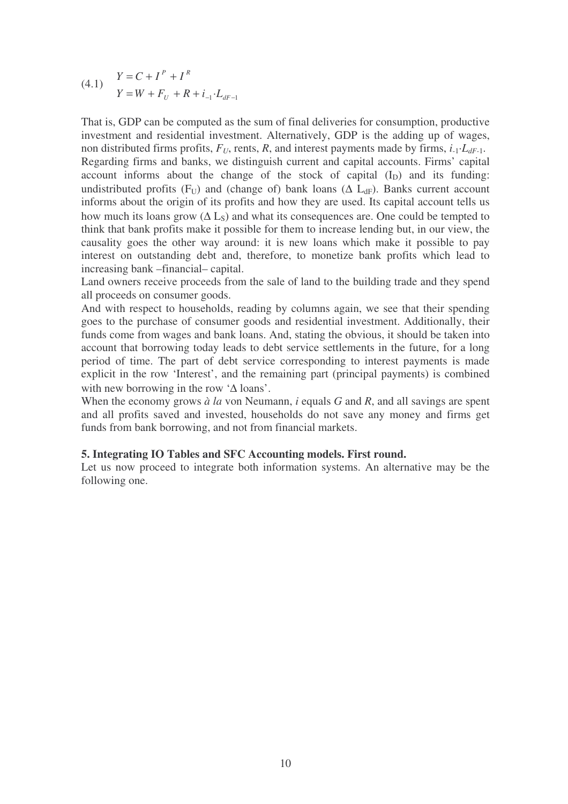(4.1) 
$$
Y = C + I^{P} + I^{R}
$$

$$
Y = W + F_{U} + R + i_{-1} \cdot L_{dF-1}
$$

That is, GDP can be computed as the sum of final deliveries for consumption, productive investment and residential investment. Alternatively, GDP is the adding up of wages, non distributed firms profits,  $F_U$ , rents, R, and interest payments made by firms,  $i_{-1} \cdot L_{dF-1}$ . Regarding firms and banks, we distinguish current and capital accounts. Firms' capital account informs about the change of the stock of capital  $(I_D)$  and its funding: undistributed profits (F<sub>U</sub>) and (change of) bank loans ( $\Delta$  L<sub>dF</sub>). Banks current account informs about the origin of its profits and how they are used. Its capital account tells us how much its loans grow ( $\Delta$  L<sub>S</sub>) and what its consequences are. One could be tempted to think that bank profits make it possible for them to increase lending but, in our view, the causality goes the other way around: it is new loans which make it possible to pay interest on outstanding debt and, therefore, to monetize bank profits which lead to increasing bank –financial– capital.

Land owners receive proceeds from the sale of land to the building trade and they spend all proceeds on consumer goods.

And with respect to households, reading by columns again, we see that their spending goes to the purchase of consumer goods and residential investment. Additionally, their funds come from wages and bank loans. And, stating the obvious, it should be taken into account that borrowing today leads to debt service settlements in the future, for a long period of time. The part of debt service corresponding to interest payments is made explicit in the row 'Interest', and the remaining part (principal payments) is combined with new borrowing in the row '∆ loans'.

When the economy grows *à la* von Neumann, *i* equals *G* and *R*, and all savings are spent and all profits saved and invested, households do not save any money and firms get funds from bank borrowing, and not from financial markets.

## **5. Integrating IO Tables and SFC Accounting models. First round.**

Let us now proceed to integrate both information systems. An alternative may be the following one.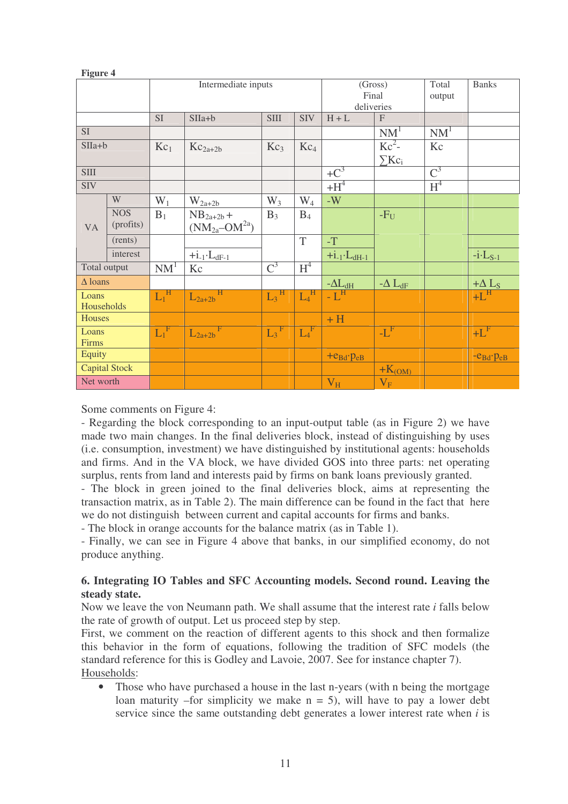| rigure 4       |                      |                 |                         |                              |                 |                       |                        |                  |                      |
|----------------|----------------------|-----------------|-------------------------|------------------------------|-----------------|-----------------------|------------------------|------------------|----------------------|
|                |                      |                 | Intermediate inputs     |                              |                 |                       | (Gross)<br>Final       | Total<br>output  | <b>Banks</b>         |
|                |                      |                 |                         |                              |                 |                       | deliveries             |                  |                      |
|                |                      | <b>SI</b>       | $SIIa+b$                | <b>SIII</b>                  | <b>SIV</b>      | $H + L$               | $\mathbf{F}$           |                  |                      |
| SI             |                      |                 |                         |                              |                 |                       | NM <sup>1</sup>        | NM <sup>1</sup>  |                      |
| $SIIa+b$       |                      | $Kc_1$          | $Kc_{2a+2b}$            | Kc <sub>3</sub>              | Kc <sub>4</sub> |                       | $Kc^2$ -               | Kc               |                      |
|                |                      |                 |                         |                              |                 |                       | $\sum$ Kc <sub>i</sub> |                  |                      |
| <b>SIII</b>    |                      |                 |                         |                              |                 | $+C^3$                |                        | $\overline{C}^3$ |                      |
| <b>SIV</b>     |                      |                 |                         |                              |                 | $+H^4$                |                        | H <sup>4</sup>   |                      |
|                | W                    | $W_1$           | $W_{2a+2b}$             | $W_3$                        | $W_4$           | $-W$                  |                        |                  |                      |
| <b>VA</b>      | <b>NOS</b>           | $B_1$           | $NB_{2a+2b} +$          | $B_3$                        | $B_4$           |                       | $-F_U$                 |                  |                      |
|                | (profits)            |                 | $(NM_{2a}$ – $OM^{2a})$ |                              |                 |                       |                        |                  |                      |
|                | (rents)              |                 |                         |                              | T               | $-T$                  |                        |                  |                      |
|                | interest             |                 | $+i_{-1}\cdot L_{dF-1}$ |                              |                 | $+i.1 \cdot L_{dH-1}$ |                        |                  | $-i$ $L_{S-1}$       |
| Total output   |                      | NM <sup>1</sup> | Kc                      | $\overline{C}^3$             | H <sup>4</sup>  |                       |                        |                  |                      |
| $\Delta$ loans |                      |                 |                         |                              |                 | $-\Delta L_{dH}$      | $-\Delta L_{dF}$       |                  | $+\Delta L_S$        |
| Loans          |                      | $L_1^{\ H}$     | Η<br>$L_{2a+2b}$        | $L_3$ <sup>H</sup>           | $L_4^{\ \ H}$   | $-L^{\rm H}$          |                        |                  | $+L^{\text{H}}$      |
| Households     |                      |                 |                         |                              |                 |                       |                        |                  |                      |
| Houses         |                      |                 |                         |                              |                 | $+H$                  |                        |                  |                      |
| Loans          |                      | $L_1^F$         | $L_{2a+2b}$             | $_{\rm F}$<br>L <sub>3</sub> | $L_4^F$         |                       | $-L^F$                 |                  | $+L^F$               |
| Firms          |                      |                 |                         |                              |                 |                       |                        |                  |                      |
| Equity         |                      |                 |                         |                              |                 | $+e_{Bd}$ . $p_{eB}$  |                        |                  | $-e_{Bd}$ . $p_{eB}$ |
|                | <b>Capital Stock</b> |                 |                         |                              |                 |                       | $+K_{(OM)}$            |                  |                      |
| Net worth      |                      |                 |                         |                              |                 | $V_H$                 | $V_{F}$                |                  |                      |

Some comments on Figure 4:

**Figure 4**

- Regarding the block corresponding to an input-output table (as in Figure 2) we have made two main changes. In the final deliveries block, instead of distinguishing by uses (i.e. consumption, investment) we have distinguished by institutional agents: households and firms. And in the VA block, we have divided GOS into three parts: net operating surplus, rents from land and interests paid by firms on bank loans previously granted.

- The block in green joined to the final deliveries block, aims at representing the transaction matrix, as in Table 2). The main difference can be found in the fact that here we do not distinguish between current and capital accounts for firms and banks.

- The block in orange accounts for the balance matrix (as in Table 1).

- Finally, we can see in Figure 4 above that banks, in our simplified economy, do not produce anything.

## **6. Integrating IO Tables and SFC Accounting models. Second round. Leaving the steady state.**

Now we leave the von Neumann path. We shall assume that the interest rate *i* falls below the rate of growth of output. Let us proceed step by step.

First, we comment on the reaction of different agents to this shock and then formalize this behavior in the form of equations, following the tradition of SFC models (the standard reference for this is Godley and Lavoie, 2007. See for instance chapter 7). Households:

• Those who have purchased a house in the last n-years (with n being the mortgage loan maturity –for simplicity we make  $n = 5$ ), will have to pay a lower debt service since the same outstanding debt generates a lower interest rate when *i* is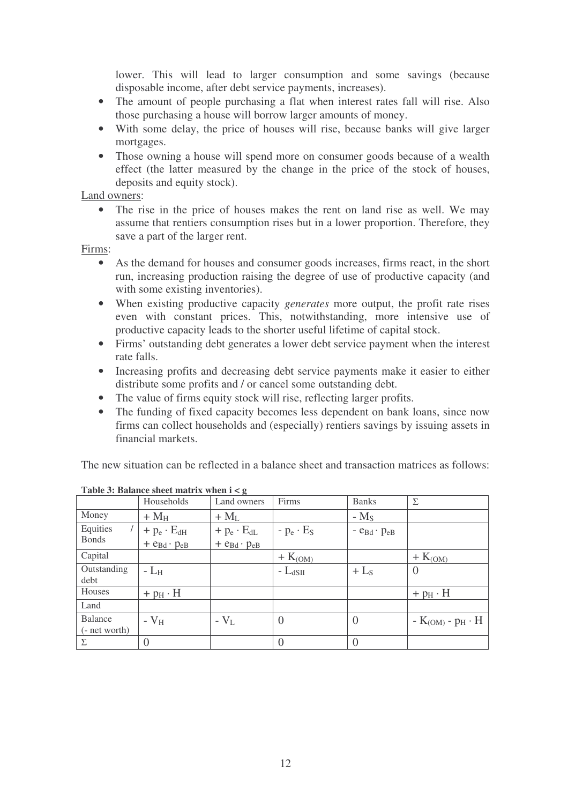lower. This will lead to larger consumption and some savings (because disposable income, after debt service payments, increases).

- The amount of people purchasing a flat when interest rates fall will rise. Also those purchasing a house will borrow larger amounts of money.
- With some delay, the price of houses will rise, because banks will give larger mortgages.
- Those owning a house will spend more on consumer goods because of a wealth effect (the latter measured by the change in the price of the stock of houses, deposits and equity stock).

Land owners:

• The rise in the price of houses makes the rent on land rise as well. We may assume that rentiers consumption rises but in a lower proportion. Therefore, they save a part of the larger rent.

Firms:

- As the demand for houses and consumer goods increases, firms react, in the short run, increasing production raising the degree of use of productive capacity (and with some existing inventories).
- When existing productive capacity *generates* more output, the profit rate rises even with constant prices. This, notwithstanding, more intensive use of productive capacity leads to the shorter useful lifetime of capital stock.
- Firms' outstanding debt generates a lower debt service payment when the interest rate falls.
- Increasing profits and decreasing debt service payments make it easier to either distribute some profits and / or cancel some outstanding debt.
- The value of firms equity stock will rise, reflecting larger profits.
- The funding of fixed capacity becomes less dependent on bank loans, since now firms can collect households and (especially) rentiers savings by issuing assets in financial markets.

The new situation can be reflected in a balance sheet and transaction matrices as follows:

|                          | Households              | $\sim$<br>Land owners   | Firms                 | <b>Banks</b>                                | Σ                     |
|--------------------------|-------------------------|-------------------------|-----------------------|---------------------------------------------|-----------------------|
| Money                    | $+M_H$                  | $+ M_{L}$               |                       | $-MS$                                       |                       |
| Equities                 | $+ p_e \cdot E_{dH}$    | $+ p_e \cdot E_{dL}$    | - $p_e \cdot E_S$     | $-$ e <sub>Bd</sub> $\cdot$ p <sub>eB</sub> |                       |
| <b>Bonds</b>             | $+ e_{Bd} \cdot p_{eB}$ | $+ e_{Bd} \cdot p_{eB}$ |                       |                                             |                       |
| Capital                  |                         |                         | $+$ K <sub>(OM)</sub> |                                             | $+$ K <sub>(OM)</sub> |
| Outstanding<br>debt      | - $L_H$                 |                         | - $L_{dSH}$           | $+$ L <sub>S</sub>                          |                       |
| Houses                   | $+ pH \cdot H$          |                         |                       |                                             | $+ pH \cdot H$        |
| Land                     |                         |                         |                       |                                             |                       |
| Balance<br>(- net worth) | $-V_{\rm H}$            | $-V_{L}$                | $\left( \right)$      | $\theta$                                    | $-K(OM) - pH \cdot H$ |
| Σ                        | $\overline{0}$          |                         |                       | $\theta$                                    |                       |

**Table 3: Balance sheet matrix when i < g**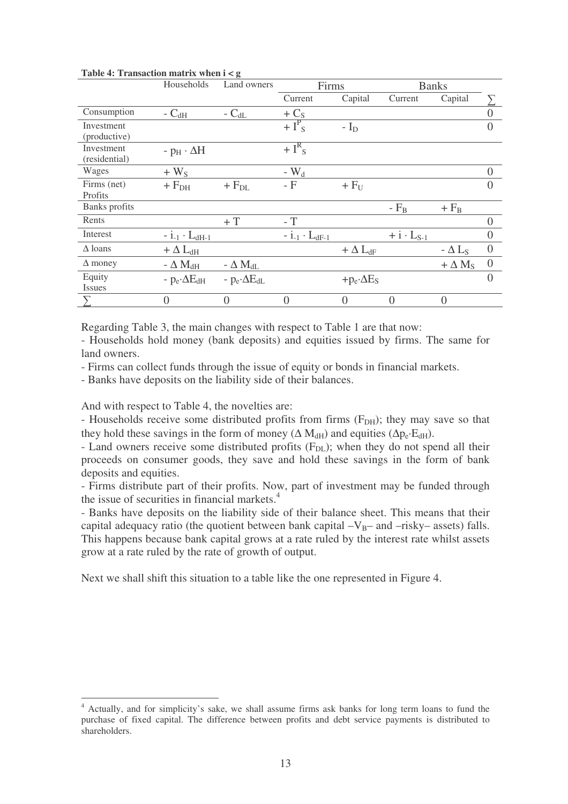|                                    | Households                                    | Land owners           | Firms                     |                   | <b>Banks</b>        |                          |                  |
|------------------------------------|-----------------------------------------------|-----------------------|---------------------------|-------------------|---------------------|--------------------------|------------------|
|                                    |                                               |                       | Current                   | Capital           | Current             | Capital                  |                  |
| Consumption                        | - $\mathrm{C}_{\mathrm{dH}}$                  | - $C_{dL}$            | $+C_{S}$                  |                   |                     |                          |                  |
| Investment<br>(productive)         |                                               |                       | $+I^P$ <sub>S</sub>       | $-ID$             |                     |                          | $\left( \right)$ |
| <b>Investment</b><br>(residential) | $-p_{\rm H} \cdot \Delta H$                   |                       | $+I^R$ s                  |                   |                     |                          |                  |
| Wages                              | $+ W_{S}$                                     |                       | - $W_d$                   |                   |                     |                          | $\left( \right)$ |
| Firms (net)<br>Profits             | $+\mathop{\mathrm{F}}\nolimits_{\mathrm{DH}}$ | $+ F_{DL}$            | - F                       | $+ FU$            |                     |                          | $\mathcal{O}$    |
| Banks profits                      |                                               |                       |                           |                   | $-F_B$              | $+ F_B$                  |                  |
| Rents                              |                                               | $+T$                  | $-$ T                     |                   |                     |                          | $\Omega$         |
| Interest                           | $-i_{-1} \cdot L_{dH-1}$                      |                       | $- i_{-1} \cdot L_{dF-1}$ |                   | $+ i \cdot L_{S-1}$ |                          | $\theta$         |
| $\Delta$ loans                     | $+ \Delta L_{dH}$                             |                       |                           | $+ \Delta L_{dF}$ |                     | $-\Delta$ L <sub>S</sub> | $\overline{0}$   |
| $\Delta$ money                     | - $\Delta$ $M_{\rm{dH}}$                      | - $\Delta M_{dL}$     |                           |                   |                     | $+\Delta M_S$            | $\theta$         |
| Equity<br><i>Issues</i>            | - $p_e \Delta E_{dH}$                         | - $p_e \Delta E_{dL}$ |                           | $+p_e \Delta E_S$ |                     |                          | $\Omega$         |
|                                    |                                               | 0                     | $\Omega$                  |                   | 0                   | $\Omega$                 |                  |

**Table 4: Transaction matrix when i < g**

Regarding Table 3, the main changes with respect to Table 1 are that now:

- Households hold money (bank deposits) and equities issued by firms. The same for land owners.

- Firms can collect funds through the issue of equity or bonds in financial markets.

- Banks have deposits on the liability side of their balances.

And with respect to Table 4, the novelties are:

- Households receive some distributed profits from firms  $(F<sub>DH</sub>)$ ; they may save so that they hold these savings in the form of money ( $\Delta M_{dH}$ ) and equities ( $\Delta p_e \cdot E_{dH}$ ).

- Land owners receive some distributed profits  $(F_{DL})$ ; when they do not spend all their proceeds on consumer goods, they save and hold these savings in the form of bank deposits and equities.

- Firms distribute part of their profits. Now, part of investment may be funded through the issue of securities in financial markets. 4

- Banks have deposits on the liability side of their balance sheet. This means that their capital adequacy ratio (the quotient between bank capital  $-V_B$ – and –risky– assets) falls. This happens because bank capital grows at a rate ruled by the interest rate whilst assets grow at a rate ruled by the rate of growth of output.

Next we shall shift this situation to a table like the one represented in Figure 4.

<sup>4</sup> Actually, and for simplicity's sake, we shall assume firms ask banks for long term loans to fund the purchase of fixed capital. The difference between profits and debt service payments is distributed to shareholders.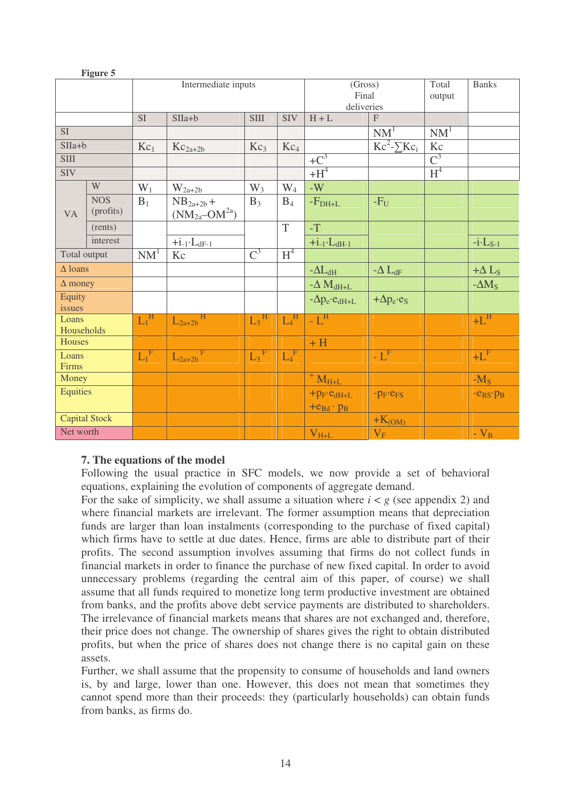|                     | гідше э                 |                           |                                           |                    |                  |                                              |                                 |                  |                   |
|---------------------|-------------------------|---------------------------|-------------------------------------------|--------------------|------------------|----------------------------------------------|---------------------------------|------------------|-------------------|
|                     |                         |                           | Intermediate inputs                       |                    |                  | (Gross)<br>Final<br>deliveries               |                                 | Total<br>output  | <b>Banks</b>      |
| <b>SI</b>           |                         |                           | $SIIa+b$                                  | <b>SIII</b>        | <b>SIV</b>       | $H + L$                                      | $\boldsymbol{\mathrm{F}}$       |                  |                   |
| SI                  |                         |                           |                                           |                    |                  |                                              | NM <sup>1</sup>                 | NM <sup>1</sup>  |                   |
| $SIIa+b$            |                         | $Kc_1$                    | $Kc_{2a+2b}$                              | Kc <sub>3</sub>    | Kc <sub>4</sub>  |                                              | $\overline{Kc^2}$ - $\sum Kc_i$ | Kc               |                   |
| <b>SIII</b>         |                         |                           |                                           |                    |                  | $+C^3$                                       |                                 | $\overline{C}^3$ |                   |
| <b>SIV</b>          |                         |                           |                                           |                    |                  | $+H^4$                                       |                                 | H <sup>4</sup>   |                   |
|                     | W                       | $W_1$                     | $W_{2a+2b}$                               | $W_3$              | $W_4$            | $\mbox{-}\mathbf{W}$                         |                                 |                  |                   |
| <b>VA</b>           | <b>NOS</b><br>(profits) | $B_1$                     | $NB_{2a+2b} +$<br>$(NM_{2a}$ – $OM^{2a})$ | $B_3$              | $B_4$            | $-FDH+L$                                     | $-F_U$                          |                  |                   |
|                     | (rents)                 |                           |                                           |                    | T                | $\mathcal{T}$                                |                                 |                  |                   |
|                     | interest                |                           | $+i_{-1}\cdot L_{dF-1}$                   |                    |                  | $+i.1 \cdot L_{dH-1}$                        |                                 |                  | $-i$ $L_{S-1}$    |
|                     | Total output            |                           | Kc                                        | $\overline{C}^3$   | $H^4$            |                                              |                                 |                  |                   |
|                     | $\Delta$ loans          |                           |                                           |                    |                  | $-\Delta L_{\rm dH}$                         | $-\Delta L_{dF}$                |                  | $+\Delta L_S$     |
| $\Delta$ money      |                         |                           |                                           |                    |                  | $-\Delta$ $M_{dH+L}$                         |                                 |                  | $-\Delta M_S$     |
| Equity<br>issues    |                         |                           |                                           |                    |                  | $-\Delta p_e \cdot e_{dH+L}$                 | $+\Delta p_e \cdot e_S$         |                  |                   |
| Loans<br>Households |                         | $\text{L}_1^{\ \text{H}}$ | $L_{2a+2b}$                               | $L_3$ <sup>H</sup> | $L_4^{\text{H}}$ | $-L^{\rm H}$                                 |                                 |                  | $+L$ <sup>H</sup> |
| Houses              |                         |                           |                                           |                    |                  | $+H$                                         |                                 |                  |                   |
| Loans<br>Firms      |                         | $L_1^{\ F}$               | $L_{2a+2b}$                               | $L_3$ <sup>F</sup> | $L_4^{\ F}$      |                                              | - $L^F$                         |                  | $+LF$             |
| Money               |                         |                           |                                           |                    |                  | $+ MH+L$                                     |                                 |                  | $-MS$             |
| Equities            |                         |                           |                                           |                    |                  | $+p_F \cdot e_{dH+L}$<br>$+e_{Bd} \cdot p_B$ | $-p_F$ $-e_{FS}$                |                  | $-e_{BS}$ . $p_B$ |
|                     | Capital Stock           |                           |                                           |                    |                  |                                              | $+K_{(OM)}$                     |                  |                   |
| Net worth           |                         |                           |                                           |                    |                  | $V_{H+L}$                                    | $V_{F}$                         |                  | $-V_B$            |

## **7. The equations of the model**

**Figure 5**

Following the usual practice in SFC models, we now provide a set of behavioral equations, explaining the evolution of components of aggregate demand.

For the sake of simplicity, we shall assume a situation where  $i < g$  (see appendix 2) and where financial markets are irrelevant. The former assumption means that depreciation funds are larger than loan instalments (corresponding to the purchase of fixed capital) which firms have to settle at due dates. Hence, firms are able to distribute part of their profits. The second assumption involves assuming that firms do not collect funds in financial markets in order to finance the purchase of new fixed capital. In order to avoid unnecessary problems (regarding the central aim of this paper, of course) we shall assume that all funds required to monetize long term productive investment are obtained from banks, and the profits above debt service payments are distributed to shareholders. The irrelevance of financial markets means that shares are not exchanged and, therefore, their price does not change. The ownership of shares gives the right to obtain distributed profits, but when the price of shares does not change there is no capital gain on these assets.

Further, we shall assume that the propensity to consume of households and land owners is, by and large, lower than one. However, this does not mean that sometimes they cannot spend more than their proceeds: they (particularly households) can obtain funds from banks, as firms do.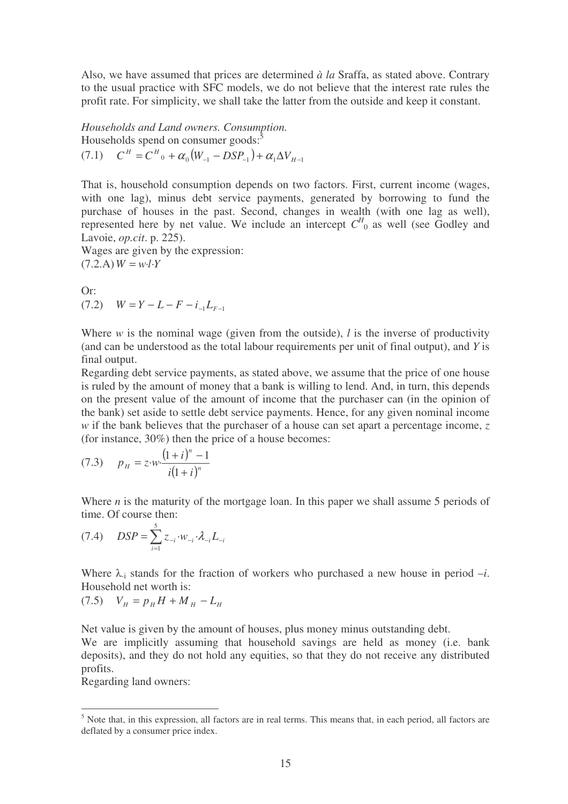Also, we have assumed that prices are determined *à la* Sraffa, as stated above. Contrary to the usual practice with SFC models, we do not believe that the interest rate rules the profit rate. For simplicity, we shall take the latter from the outside and keep it constant.

*Households and Land owners. Consumption.* Households spend on consumer goods:<sup>5</sup>  $(C^H = C^H \cdot \alpha_0 (W_{-1} - DSP_{-1}) + \alpha_1 \Delta V_{H-1}$ 

That is, household consumption depends on two factors. First, current income (wages, with one lag), minus debt service payments, generated by borrowing to fund the purchase of houses in the past. Second, changes in wealth (with one lag as well), represented here by net value. We include an intercept  $C_{\text{0}}^H$  as well (see Godley and Lavoie, *op.cit*. p. 225).

Wages are given by the expression:  $(7.2.A)W = w·l·Y$ 

Or:  $(V^T - Z^T) = W = Y - L - F - i L_{F-1}$ 

Where *w* is the nominal wage (given from the outside), *l* is the inverse of productivity (and can be understood as the total labour requirements per unit of final output), and *Y* is final output.

Regarding debt service payments, as stated above, we assume that the price of one house is ruled by the amount of money that a bank is willing to lend. And, in turn, this depends on the present value of the amount of income that the purchaser can (in the opinion of the bank) set aside to settle debt service payments. Hence, for any given nominal income *w* if the bank believes that the purchaser of a house can set apart a percentage income, *z* (for instance, 30%) then the price of a house becomes:

(7.3) 
$$
p_{H} = z \cdot w \cdot \frac{(1+i)^{n} - 1}{i(1+i)^{n}}
$$

Where *n* is the maturity of the mortgage loan. In this paper we shall assume 5 periods of time. Of course then:

$$
(7.4) \quad DSP = \sum_{i=1}^{5} z_{-i} \cdot w_{-i} \cdot \lambda_{-i} L_{-i}
$$

Where  $\lambda_i$  stands for the fraction of workers who purchased a new house in period  $-i$ . Household net worth is:

$$
(7.5) \tV_H = p_H H + M_H - L_H
$$

Net value is given by the amount of houses, plus money minus outstanding debt.

We are implicitly assuming that household savings are held as money (i.e. bank deposits), and they do not hold any equities, so that they do not receive any distributed profits.

Regarding land owners:

<sup>&</sup>lt;sup>5</sup> Note that, in this expression, all factors are in real terms. This means that, in each period, all factors are deflated by a consumer price index.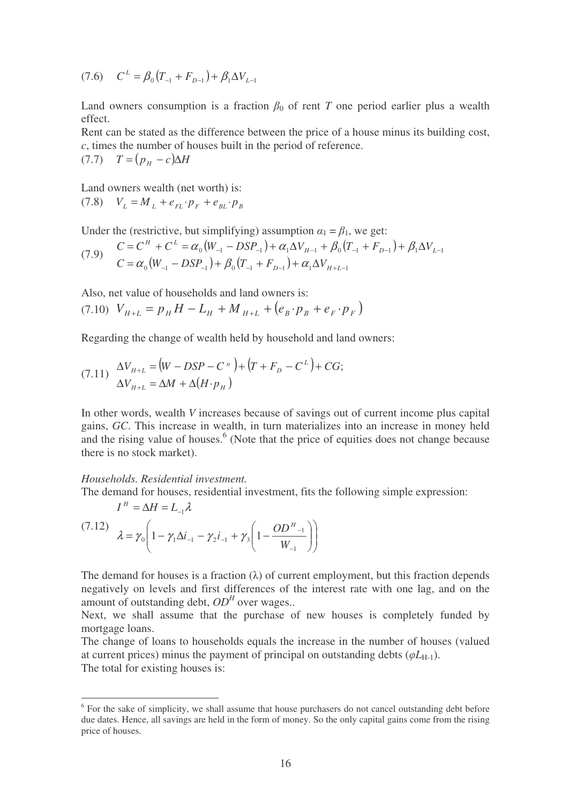$(7.6)$   $C^{L} = \beta_0 (T_{-1} + F_{D-1}) + \beta_1 \Delta V_{L-1}$ 

Land owners consumption is a fraction  $\beta_0$  of rent *T* one period earlier plus a wealth effect.

Rent can be stated as the difference between the price of a house minus its building cost, *c*, times the number of houses built in the period of reference.

 $(T.7)$   $T = (p_H - c)\Delta H$ 

Land owners wealth (net worth) is:

 $V_L = M_L + e_{FL} \cdot p_F + e_{BL} \cdot p_B$ 

Under the (restrictive, but simplifying) assumption  $\alpha_1 = \beta_1$ , we get:

$$
(7.9) \quad \begin{aligned} C &= C^H + C^L = \alpha_0 \big( W_{-1} - DSP_{-1} \big) + \alpha_1 \Delta V_{H-1} + \beta_0 \big( T_{-1} + F_{D-1} \big) + \beta_1 \Delta V_{L-1} \\ C &= \alpha_0 \big( W_{-1} - DSP_{-1} \big) + \beta_0 \big( T_{-1} + F_{D-1} \big) + \alpha_1 \Delta V_{H+L-1} \end{aligned}
$$

Also, net value of households and land owners is:

$$
(7.10) V_{H+L} = p_H H - L_H + M_{H+L} + (e_B \cdot p_B + e_F \cdot p_F)
$$

Regarding the change of wealth held by household and land owners:

$$
(7.11) \quad \Delta V_{H+L} = (W - DSP - C^H) + (T + F_D - C^L) + CG; \Delta V_{H+L} = \Delta M + \Delta (H \cdot p_H)
$$

In other words, wealth *V* increases because of savings out of current income plus capital gains, *GC*. This increase in wealth, in turn materializes into an increase in money held and the rising value of houses.<sup>6</sup> (Note that the price of equities does not change because there is no stock market).

*Households. Residential investment.*

The demand for houses, residential investment, fits the following simple expression:

 $I^H = \Delta H = L_{-1} \lambda$ 

$$
(7.12) \quad \lambda = \gamma_0 \left( 1 - \gamma_1 \Delta i_{-1} - \gamma_2 i_{-1} + \gamma_3 \left( 1 - \frac{OD^H_{-1}}{W_{-1}} \right) \right)
$$

The demand for houses is a fraction  $(\lambda)$  of current employment, but this fraction depends negatively on levels and first differences of the interest rate with one lag, and on the amount of outstanding debt,  $OD<sup>H</sup>$  over wages..

Next, we shall assume that the purchase of new houses is completely funded by mortgage loans.

The change of loans to households equals the increase in the number of houses (valued at current prices) minus the payment of principal on outstanding debts  $(\varphi L_{H-1})$ . The total for existing houses is:

<sup>&</sup>lt;sup>6</sup> For the sake of simplicity, we shall assume that house purchasers do not cancel outstanding debt before due dates. Hence, all savings are held in the form of money. So the only capital gains come from the rising price of houses.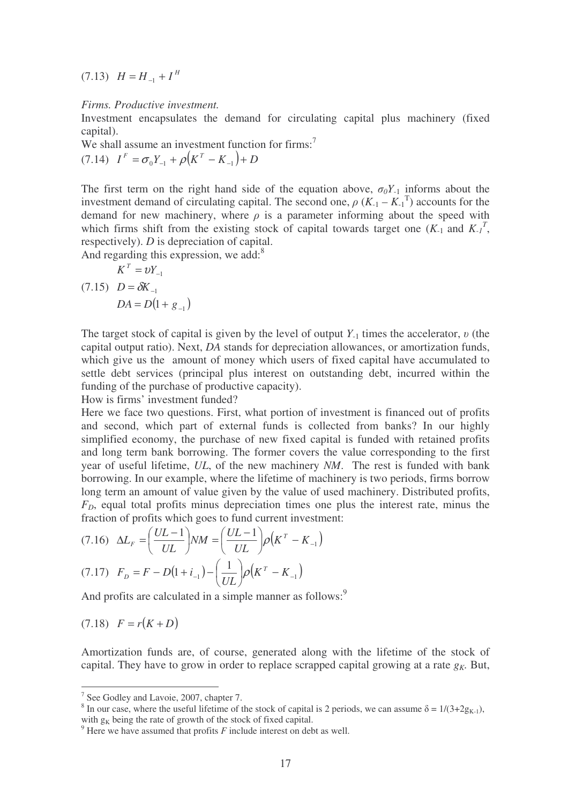$(H = H_{-1} + I^H)$ 

#### *Firms. Productive investment.*

Investment encapsulates the demand for circulating capital plus machinery (fixed capital).

We shall assume an investment function for firms:<sup>7</sup>

 $(7.14)$   $I^F = \sigma_0 Y_{-1} + \rho (K^T - K_{-1}) + D$ 

The first term on the right hand side of the equation above,  $\sigma_0 Y_{-1}$  informs about the investment demand of circulating capital. The second one,  $\rho$  ( $K_{-1} - K_{-1}^T$ ) accounts for the demand for new machinery, where  $\rho$  is a parameter informing about the speed with which firms shift from the existing stock of capital towards target one  $(K_1$  and  $K_1$ <sup>T</sup>, respectively). *D* is depreciation of capital.

And regarding this expression, we add:<sup>8</sup>

$$
K^T = \nu Y_{-1}
$$
  
(7.15) 
$$
D = \delta K_{-1}
$$

$$
DA = D(1 + g_{-1})
$$

The target stock of capital is given by the level of output  $Y_{-1}$  times the accelerator,  $v$  (the capital output ratio). Next, *DA* stands for depreciation allowances, or amortization funds, which give us the amount of money which users of fixed capital have accumulated to settle debt services (principal plus interest on outstanding debt, incurred within the funding of the purchase of productive capacity).

How is firms' investment funded?

Here we face two questions. First, what portion of investment is financed out of profits and second, which part of external funds is collected from banks? In our highly simplified economy, the purchase of new fixed capital is funded with retained profits and long term bank borrowing. The former covers the value corresponding to the first year of useful lifetime, *UL*, of the new machinery *NM*. The rest is funded with bank borrowing. In our example, where the lifetime of machinery is two periods, firms borrow long term an amount of value given by the value of used machinery. Distributed profits, *FD*, equal total profits minus depreciation times one plus the interest rate, minus the fraction of profits which goes to fund current investment:

$$
(7.16) \ \ \Delta L_F = \left(\frac{UL-1}{UL}\right) NM = \left(\frac{UL-1}{UL}\right) \rho \left(K^T - K_{-1}\right)
$$
\n
$$
(7.17) \ \ F_D = F - D(1 + i_{-1}) - \left(\frac{1}{UL}\right) \rho \left(K^T - K_{-1}\right)
$$

And profits are calculated in a simple manner as follows:<sup>9</sup>

$$
(7.18) \quad F = r(K+D)
$$

Amortization funds are, of course, generated along with the lifetime of the stock of capital. They have to grow in order to replace scrapped capital growing at a rate  $g_K$ . But,

<sup>&</sup>lt;sup>7</sup> See Godley and Lavoie, 2007, chapter 7.

<sup>&</sup>lt;sup>8</sup> In our case, where the useful lifetime of the stock of capital is 2 periods, we can assume  $\delta = 1/(3+2g_{K-1})$ , with  $g<sub>K</sub>$  being the rate of growth of the stock of fixed capital.

 $9$ <sup>9</sup> Here we have assumed that profits  $F$  include interest on debt as well.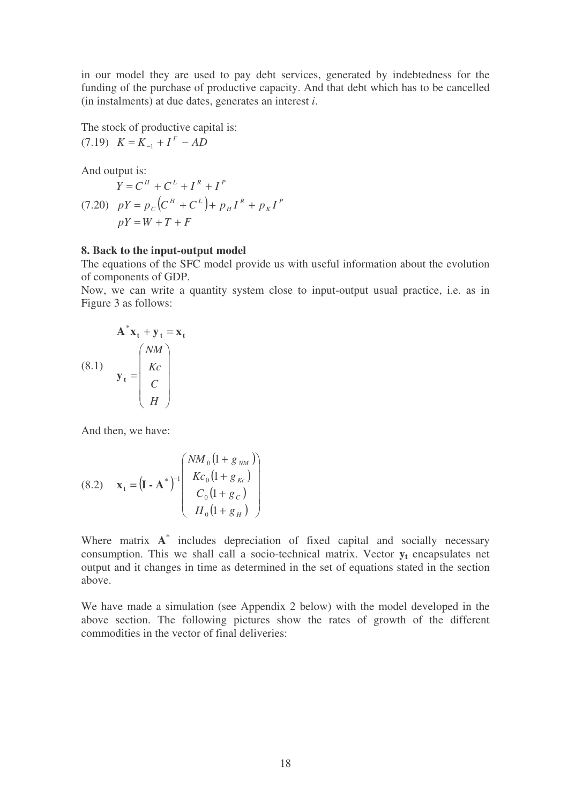in our model they are used to pay debt services, generated by indebtedness for the funding of the purchase of productive capacity. And that debt which has to be cancelled (in instalments) at due dates, generates an interest *i*.

The stock of productive capital is:

$$
(7.19) \ \ K = K_{-1} + I^F - AD
$$

And output is:

 $pY = p_c(C^H + C^L) + p_H I^R + p_K I^P$  $pY = W + T + F$  $Y = C^H + C^L + I^R + I^P$ *K R H*  $H \cup C^L$  $= p_C (C^H + C^L) + p_H I^R +$ 

## **8. Back to the input-output model**

The equations of the SFC model provide us with useful information about the evolution of components of GDP.

Now, we can write a quantity system close to input-output usual practice, i.e. as in Figure 3 as follows:

$$
A^*x_t + y_t = x_t
$$
  
(8.1)  

$$
y_t = \begin{pmatrix} NM \\ Kc \\ C \\ H \end{pmatrix}
$$

And then, we have:

(8.2) 
$$
\mathbf{x}_{t} = (\mathbf{I} - \mathbf{A}^{*})^{-1} \begin{pmatrix} NM_{0} (1 + g_{NM}) \\ Kc_{0} (1 + g_{Kc}) \\ C_{0} (1 + g_{C}) \\ H_{0} (1 + g_{H}) \end{pmatrix}
$$

Where matrix **A \*** includes depreciation of fixed capital and socially necessary consumption. This we shall call a socio-technical matrix. Vector  $y_t$  encapsulates net output and it changes in time as determined in the set of equations stated in the section above.

We have made a simulation (see Appendix 2 below) with the model developed in the above section. The following pictures show the rates of growth of the different commodities in the vector of final deliveries: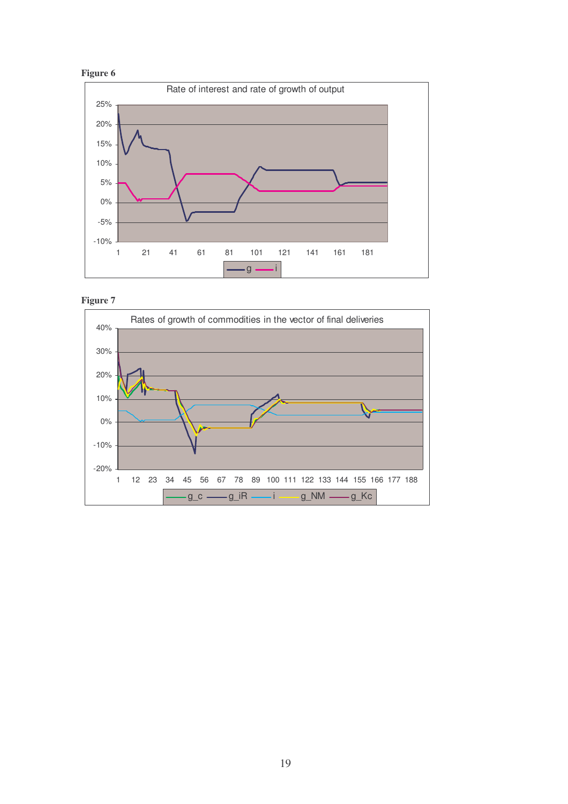





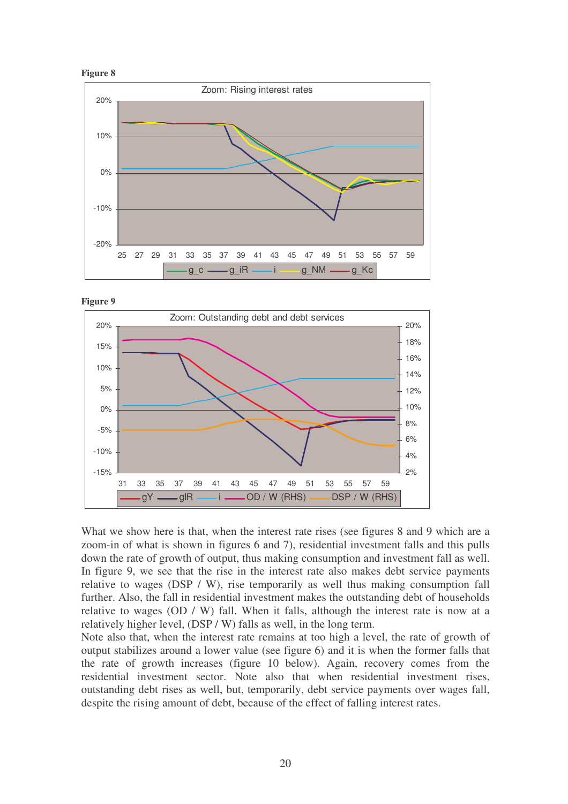







What we show here is that, when the interest rate rises (see figures 8 and 9 which are a zoom-in of what is shown in figures 6 and 7), residential investment falls and this pulls down the rate of growth of output, thus making consumption and investment fall as well. In figure 9, we see that the rise in the interest rate also makes debt service payments relative to wages (DSP / W), rise temporarily as well thus making consumption fall further. Also, the fall in residential investment makes the outstanding debt of households relative to wages (OD / W) fall. When it falls, although the interest rate is now at a relatively higher level, (DSP / W) falls as well, in the long term.

Note also that, when the interest rate remains at too high a level, the rate of growth of output stabilizes around a lower value (see figure 6) and it is when the former falls that the rate of growth increases (figure 10 below). Again, recovery comes from the residential investment sector. Note also that when residential investment rises, outstanding debt rises as well, but, temporarily, debt service payments over wages fall, despite the rising amount of debt, because of the effect of falling interest rates.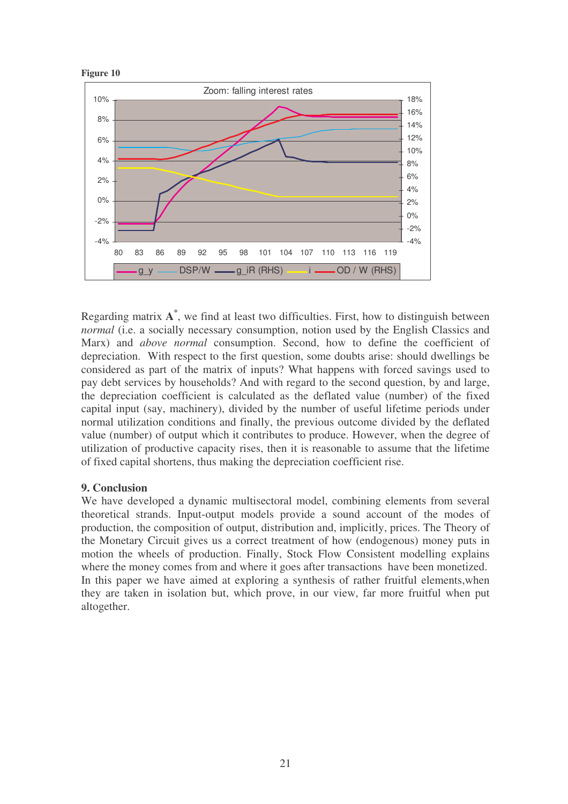

Regarding matrix **A \*** , we find at least two difficulties. First, how to distinguish between *normal* (i.e. a socially necessary consumption, notion used by the English Classics and Marx) and *above normal* consumption. Second, how to define the coefficient of depreciation. With respect to the first question, some doubts arise: should dwellings be considered as part of the matrix of inputs? What happens with forced savings used to pay debt services by households? And with regard to the second question, by and large, the depreciation coefficient is calculated as the deflated value (number) of the fixed capital input (say, machinery), divided by the number of useful lifetime periods under normal utilization conditions and finally, the previous outcome divided by the deflated value (number) of output which it contributes to produce. However, when the degree of utilization of productive capacity rises, then it is reasonable to assume that the lifetime of fixed capital shortens, thus making the depreciation coefficient rise.

# **9. Conclusion**

We have developed a dynamic multisectoral model, combining elements from several theoretical strands. Input-output models provide a sound account of the modes of production, the composition of output, distribution and, implicitly, prices. The Theory of the Monetary Circuit gives us a correct treatment of how (endogenous) money puts in motion the wheels of production. Finally, Stock Flow Consistent modelling explains where the money comes from and where it goes after transactions have been monetized. In this paper we have aimed at exploring a synthesis of rather fruitful elements,when they are taken in isolation but, which prove, in our view, far more fruitful when put altogether.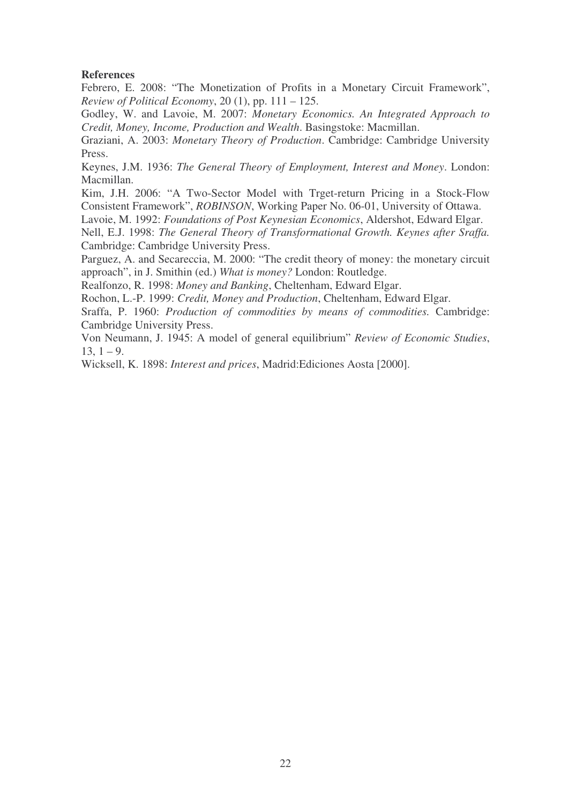## **References**

Febrero, E. 2008: "The Monetization of Profits in a Monetary Circuit Framework", *Review of Political Economy*, 20 (1), pp. 111 – 125.

Godley, W. and Lavoie, M. 2007: *Monetary Economics. An Integrated Approach to Credit, Money, Income, Production and Wealth*. Basingstoke: Macmillan.

Graziani, A. 2003: *Monetary Theory of Production*. Cambridge: Cambridge University Press.

Keynes, J.M. 1936: *The General Theory of Employment, Interest and Money*. London: Macmillan.

Kim, J.H. 2006: "A Two-Sector Model with Trget-return Pricing in a Stock-Flow Consistent Framework", *ROBINSON*, Working Paper No. 06-01, University of Ottawa.

Lavoie, M. 1992: *Foundations of Post Keynesian Economics*, Aldershot, Edward Elgar.

Nell, E.J. 1998: *The General Theory of Transformational Growth. Keynes after Sraffa.* Cambridge: Cambridge University Press.

Parguez, A. and Secareccia, M. 2000: "The credit theory of money: the monetary circuit approach", in J. Smithin (ed.) *What is money?* London: Routledge.

Realfonzo, R. 1998: *Money and Banking*, Cheltenham, Edward Elgar.

Rochon, L.-P. 1999: *Credit, Money and Production*, Cheltenham, Edward Elgar.

Sraffa, P. 1960: *Production of commodities by means of commodities.* Cambridge: Cambridge University Press.

Von Neumann, J. 1945: A model of general equilibrium" *Review of Economic Studies*,  $13, 1 - 9.$ 

Wicksell, K. 1898: *Interest and prices*, Madrid:Ediciones Aosta [2000].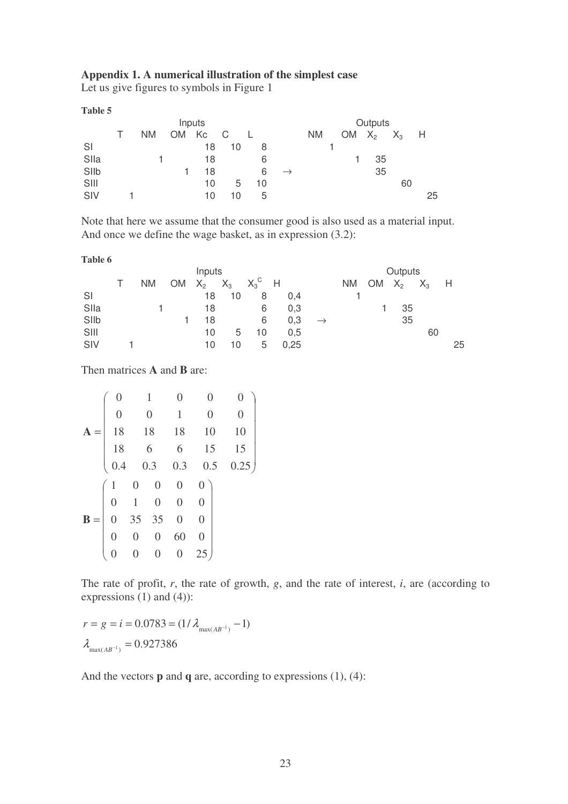## **Appendix 1. A numerical illustration of the simplest case**

Let us give figures to symbols in Figure 1

**Table 5**

| Inputs |  |           |       |    |             |    |               | Outputs   |  |           |             |    |      |
|--------|--|-----------|-------|----|-------------|----|---------------|-----------|--|-----------|-------------|----|------|
|        |  | <b>NM</b> | OM Kc |    | $\mathbb C$ |    |               | <b>NM</b> |  | <b>OM</b> | $X_2$ $X_3$ |    | $-H$ |
| SI     |  |           |       | 18 | 10          | 8  |               |           |  |           |             |    |      |
| Slla   |  |           |       | 18 |             | 6  |               |           |  |           | 35          |    |      |
| SIIb   |  |           |       | 18 |             | 6  | $\rightarrow$ |           |  |           | 35          |    |      |
| SIII   |  |           |       | 10 | 5           | 10 |               |           |  |           |             | 60 |      |
| SIV    |  |           |       | 10 | 10          | 5  |               |           |  |           |             |    | 25   |

Note that here we assume that the consumer good is also used as a material input. And once we define the wage basket, as in expression (3.2):

| v<br>۰,<br>۰.<br>I<br>× |  |
|-------------------------|--|
|-------------------------|--|

|      | Inputs |           |           |       |       |         |      |               | Outputs   |           |       |       |      |
|------|--------|-----------|-----------|-------|-------|---------|------|---------------|-----------|-----------|-------|-------|------|
|      |        | <b>NM</b> | <b>OM</b> | $X_2$ | $X_3$ | $X_3^C$ | H    |               | <b>NM</b> | <b>OM</b> | $X_2$ | $X_3$ | $-H$ |
| SI   |        |           |           | 18    | 10    | 8       | 0.4  |               |           |           |       |       |      |
| Slla |        |           |           | 18    |       | 6       | 0,3  |               |           |           | 35    |       |      |
| SIIb |        |           |           | 18    |       | 6       | 0,3  | $\rightarrow$ |           |           | 35    |       |      |
| SIII |        |           |           | 10    | 5     | 10      | 0.5  |               |           |           |       | 60    |      |
| SIV  |        |           |           | 10    | 10    | 5       | 0,25 |               |           |           |       |       | 25   |

Then matrices **A** and **B** are:

| $\overline{0}$   |                  | 1                | $\overline{0}$   | $\overline{0}$   |                  |
|------------------|------------------|------------------|------------------|------------------|------------------|
| $\boldsymbol{0}$ |                  | $\boldsymbol{0}$ | $\mathbf{1}$     | $\overline{0}$   | $\boldsymbol{0}$ |
| 18               |                  | 18               | 18               | 10               | 10               |
| 18               |                  | 6                | 6                | 15               | 15               |
| 0.4              | 0.3              |                  | 0.3              | 0.5              | 0.25             |
|                  | $\boldsymbol{0}$ | $\boldsymbol{0}$ | $\boldsymbol{0}$ | $\boldsymbol{0}$ |                  |
| $\boldsymbol{0}$ | $\,1\,$          | $\overline{0}$   | $\overline{0}$   | $\overline{0}$   |                  |
|                  | 35               | 35               | $\overline{0}$   | $\overline{0}$   |                  |
|                  | $\boldsymbol{0}$ | $\boldsymbol{0}$ | 60               | $\overline{0}$   |                  |
|                  |                  | $\overline{0}$   | $\overline{0}$   |                  |                  |

The rate of profit, *r*, the rate of growth, *g*, and the rate of interest, *i*, are (according to expressions (1) and (4)):

 $\lambda_{\max(AB^{-1})} = 0.927386$  $r = g = i = 0.0783 = (1/\lambda_{\text{max}(AB^{-1})} - 1)$ 

And the vectors **p** and **q** are, according to expressions (1), (4):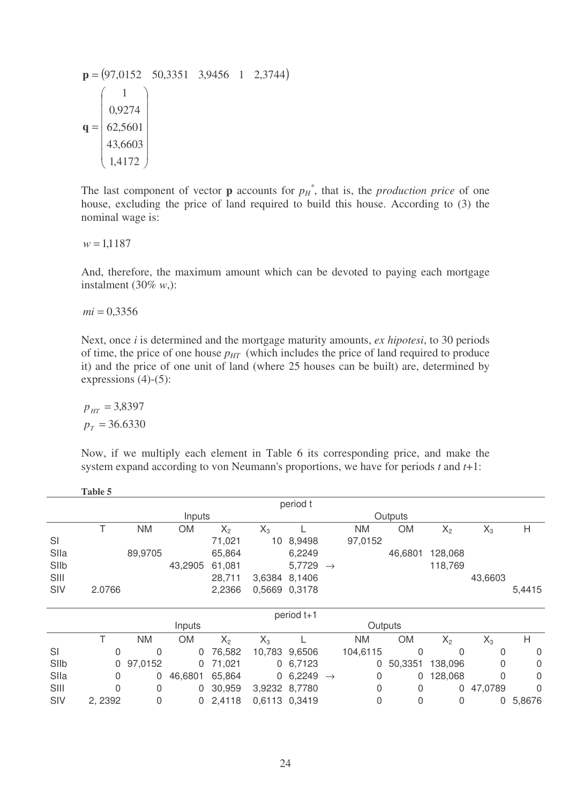$$
\mathbf{p} = (97,0152 \quad 50,3351 \quad 3,9456 \quad 1 \quad 2,3744)
$$

$$
\mathbf{q} = \begin{pmatrix} 1 \\ 0,9274 \\ 62,5601 \\ 43,6603 \\ 1,4172 \end{pmatrix}
$$

The last component of vector **p** accounts for  $p_H^*$ , that is, the *production price* of one house, excluding the price of land required to build this house. According to (3) the nominal wage is:

 $w = 1,1187$ 

And, therefore, the maximum amount which can be devoted to paying each mortgage instalment (30% *w*,):

 $mi = 0.3356$ 

Next, once *i* is determined and the mortgage maturity amounts, *ex hipotesi*, to 30 periods of time, the price of one house  $p_{HT}$  (which includes the price of land required to produce it) and the price of one unit of land (where 25 houses can be built) are, determined by expressions (4)-(5):

$$
p_{\text{HT}} = 3,8397
$$
  

$$
p_T = 36.6330
$$

Now, if we multiply each element in Table 6 its corresponding price, and make the system expand according to von Neumann's proportions, we have for periods *t* and *t*+1:

|      | Table 5           |           |           |        |        |               |               |           |                |         |         |        |
|------|-------------------|-----------|-----------|--------|--------|---------------|---------------|-----------|----------------|---------|---------|--------|
|      |                   |           |           |        |        | period t      |               |           |                |         |         |        |
|      | Inputs<br>Outputs |           |           |        |        |               |               |           |                |         |         |        |
|      | Τ                 | <b>NM</b> | <b>OM</b> | $X_2$  | $X_3$  |               |               | NM.       | <b>OM</b>      | $X_2$   | $X_3$   | H      |
| SI   |                   |           |           | 71,021 | 10     | 8,9498        |               | 97,0152   |                |         |         |        |
| Slla |                   | 89,9705   |           | 65,864 |        | 6,2249        |               |           | 46,6801        | 128,068 |         |        |
| SIIb |                   |           | 43,2905   | 61,081 |        | 5,7729        | $\rightarrow$ |           |                | 118,769 |         |        |
| SIII |                   |           |           | 28,711 | 3,6384 | 8,1406        |               |           |                |         | 43,6603 |        |
| SIV  | 2.0766            |           |           | 2,2366 |        | 0,5669 0,3178 |               |           |                |         |         | 5,4415 |
|      |                   |           |           |        |        |               |               |           |                |         |         |        |
|      |                   |           |           |        |        | period t+1    |               |           |                |         |         |        |
|      |                   |           | Inputs    |        |        |               |               |           | Outputs        |         |         |        |
|      | Τ                 | <b>NM</b> | <b>OM</b> | $X_2$  | $X_3$  |               |               | <b>NM</b> | <b>OM</b>      | $X_2$   | $X_3$   | H      |
| SI   | 0                 | 0         | 0         | 76,582 |        | 10,783 9,6506 |               | 104,6115  | $\overline{0}$ | 0       | 0       | 0      |
| SIIb | 0                 | 97,0152   | 0         | 71,021 |        | 0, 6, 7123    |               | 0         | 50,3351        | 138,096 | 0       | 0      |
| Slla | 0                 | 0         | 46,6801   | 65,864 |        | 0,6,2249      | $\rightarrow$ | 0         | $\Omega$       | 128,068 | 0       | 0      |
| SIII | O                 | 0         | 0         | 30,959 |        | 3,9232 8,7780 |               | 0         | 0              | 0       | 47,0789 | 0      |
| SIV  | 2, 2392           | 0         | 0         | 2,4118 |        | 0,6113 0,3419 |               | 0         | 0              | 0       | 0       | 5,8676 |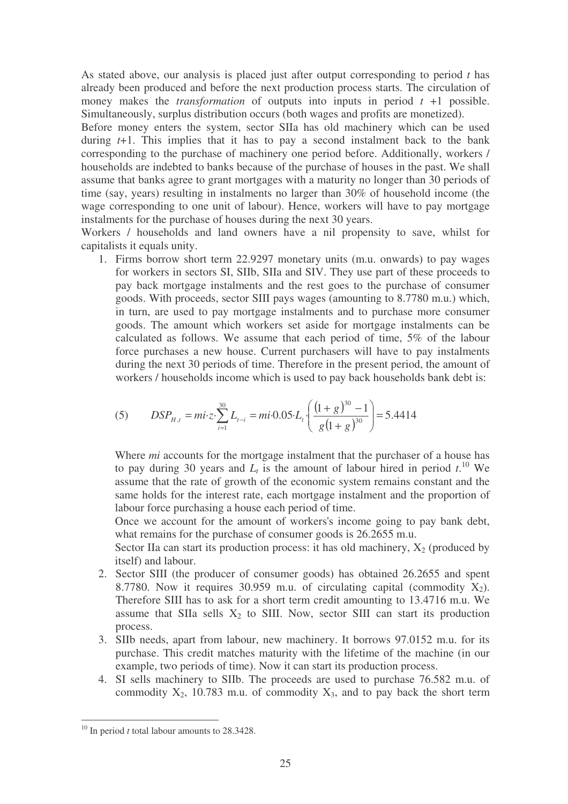As stated above, our analysis is placed just after output corresponding to period *t* has already been produced and before the next production process starts. The circulation of money makes the *transformation* of outputs into inputs in period  $t + 1$  possible. Simultaneously, surplus distribution occurs (both wages and profits are monetized).

Before money enters the system, sector SIIa has old machinery which can be used during *t*+1. This implies that it has to pay a second instalment back to the bank corresponding to the purchase of machinery one period before. Additionally, workers / households are indebted to banks because of the purchase of houses in the past. We shall assume that banks agree to grant mortgages with a maturity no longer than 30 periods of time (say, years) resulting in instalments no larger than 30% of household income (the wage corresponding to one unit of labour). Hence, workers will have to pay mortgage instalments for the purchase of houses during the next 30 years.

Workers / households and land owners have a nil propensity to save, whilst for capitalists it equals unity.

1. Firms borrow short term 22.9297 monetary units (m.u. onwards) to pay wages for workers in sectors SI, SIIb, SIIa and SIV. They use part of these proceeds to pay back mortgage instalments and the rest goes to the purchase of consumer goods. With proceeds, sector SIII pays wages (amounting to 8.7780 m.u.) which, in turn, are used to pay mortgage instalments and to purchase more consumer goods. The amount which workers set aside for mortgage instalments can be calculated as follows. We assume that each period of time, 5% of the labour force purchases a new house. Current purchasers will have to pay instalments during the next 30 periods of time. Therefore in the present period, the amount of workers / households income which is used to pay back households bank debt is:

(5) 
$$
DSP_{H,t} = mi \cdot z \cdot \sum_{i=1}^{30} L_{t-i} = mi \cdot 0.05 \cdot L_t \cdot \left( \frac{(1+g)^{30} - 1}{g(1+g)^{30}} \right) = 5.4414
$$

Where *mi* accounts for the mortgage instalment that the purchaser of a house has to pay during 30 years and  $L_t$  is the amount of labour hired in period  $t$ .<sup>10</sup> We assume that the rate of growth of the economic system remains constant and the same holds for the interest rate, each mortgage instalment and the proportion of labour force purchasing a house each period of time.

Once we account for the amount of workers's income going to pay bank debt, what remains for the purchase of consumer goods is 26.2655 m.u.

Sector IIa can start its production process: it has old machinery,  $X_2$  (produced by itself) and labour.

- 2. Sector SIII (the producer of consumer goods) has obtained 26.2655 and spent 8.7780. Now it requires 30.959 m.u. of circulating capital (commodity  $X_2$ ). Therefore SIII has to ask for a short term credit amounting to 13.4716 m.u. We assume that SIIa sells  $X_2$  to SIII. Now, sector SIII can start its production process.
- 3. SIIb needs, apart from labour, new machinery. It borrows 97.0152 m.u. for its purchase. This credit matches maturity with the lifetime of the machine (in our example, two periods of time). Now it can start its production process.
- 4. SI sells machinery to SIIb. The proceeds are used to purchase 76.582 m.u. of commodity  $X_2$ , 10.783 m.u. of commodity  $X_3$ , and to pay back the short term

<sup>&</sup>lt;sup>10</sup> In period *t* total labour amounts to 28.3428.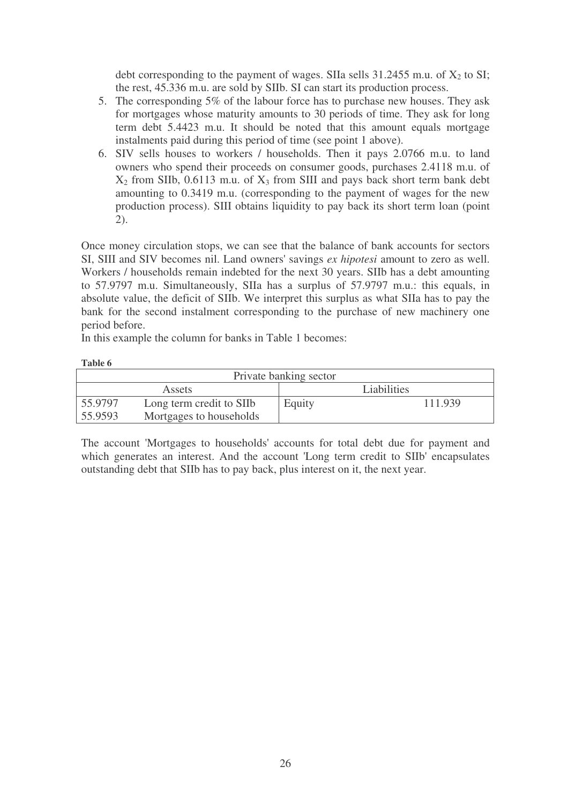debt corresponding to the payment of wages. SIIa sells  $31.2455$  m.u. of  $X_2$  to SI; the rest, 45.336 m.u. are sold by SIIb. SI can start its production process.

- 5. The corresponding 5% of the labour force has to purchase new houses. They ask for mortgages whose maturity amounts to 30 periods of time. They ask for long term debt 5.4423 m.u. It should be noted that this amount equals mortgage instalments paid during this period of time (see point 1 above).
- 6. SIV sells houses to workers / households. Then it pays 2.0766 m.u. to land owners who spend their proceeds on consumer goods, purchases 2.4118 m.u. of  $X_2$  from SIIb, 0.6113 m.u. of  $X_3$  from SIII and pays back short term bank debt amounting to 0.3419 m.u. (corresponding to the payment of wages for the new production process). SIII obtains liquidity to pay back its short term loan (point 2).

Once money circulation stops, we can see that the balance of bank accounts for sectors SI, SIII and SIV becomes nil. Land owners'savings *ex hipotesi* amount to zero as well. Workers / households remain indebted for the next 30 years. SIIb has a debt amounting to 57.9797 m.u. Simultaneously, SIIa has a surplus of 57.9797 m.u.: this equals, in absolute value, the deficit of SIIb. We interpret this surplus as what SIIa has to pay the bank for the second instalment corresponding to the purchase of new machinery one period before.

In this example the column for banks in Table 1 becomes:

| Table 6                |                          |                    |         |  |  |  |  |  |  |
|------------------------|--------------------------|--------------------|---------|--|--|--|--|--|--|
| Private banking sector |                          |                    |         |  |  |  |  |  |  |
|                        | <b>Assets</b>            | <b>Liabilities</b> |         |  |  |  |  |  |  |
| 55.9797                | Long term credit to SIIb | Equity             | 111.939 |  |  |  |  |  |  |
| 55.9593                | Mortgages to households  |                    |         |  |  |  |  |  |  |

The account 'Mortgages to households'accounts for total debt due for payment and which generates an interest. And the account 'Long term credit to SIIb' encapsulates outstanding debt that SIIb has to pay back, plus interest on it, the next year.

26